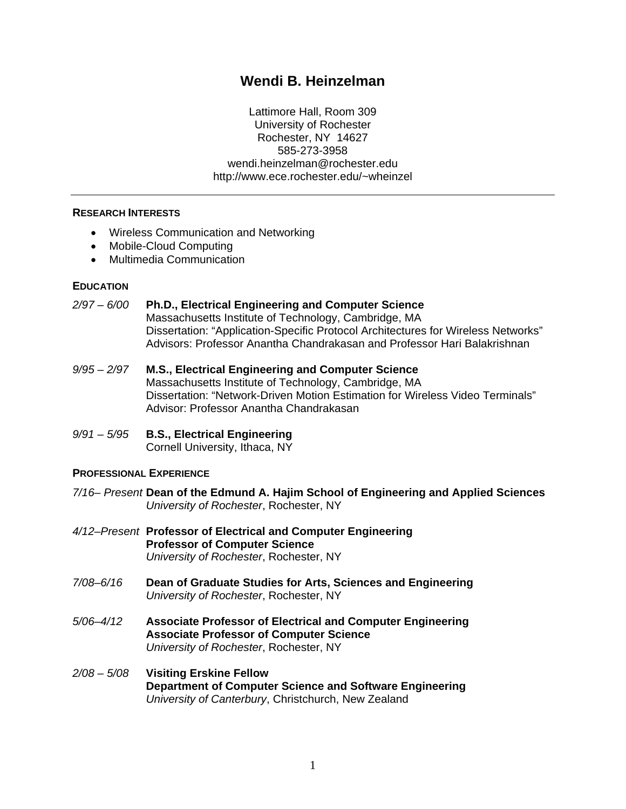# **Wendi B. Heinzelman**

Lattimore Hall, Room 309 University of Rochester Rochester, NY 14627 585-273-3958 wendi.heinzelman@rochester.edu http://www.ece.rochester.edu/~wheinzel

#### **RESEARCH INTERESTS**

- Wireless Communication and Networking
- Mobile-Cloud Computing
- Multimedia Communication

#### **EDUCATION**

#### *2/97 – 6/00* **Ph.D., Electrical Engineering and Computer Science**

Massachusetts Institute of Technology, Cambridge, MA Dissertation: "Application-Specific Protocol Architectures for Wireless Networks" Advisors: Professor Anantha Chandrakasan and Professor Hari Balakrishnan

- *9/95 – 2/97* **M.S., Electrical Engineering and Computer Science** Massachusetts Institute of Technology, Cambridge, MA Dissertation: "Network-Driven Motion Estimation for Wireless Video Terminals" Advisor: Professor Anantha Chandrakasan
- *9/91 – 5/95* **B.S., Electrical Engineering**  Cornell University, Ithaca, NY

#### **PROFESSIONAL EXPERIENCE**

- *7/16– Present* **Dean of the Edmund A. Hajim School of Engineering and Applied Sciences** *University of Rochester*, Rochester, NY
- *4/12–Present* **Professor of Electrical and Computer Engineering Professor of Computer Science** *University of Rochester*, Rochester, NY
- *7/08–6/16* **Dean of Graduate Studies for Arts, Sciences and Engineering**  *University of Rochester*, Rochester, NY
- *5/06–4/12* **Associate Professor of Electrical and Computer Engineering Associate Professor of Computer Science** *University of Rochester*, Rochester, NY
- *2/08 – 5/08* **Visiting Erskine Fellow Department of Computer Science and Software Engineering** *University of Canterbury*, Christchurch, New Zealand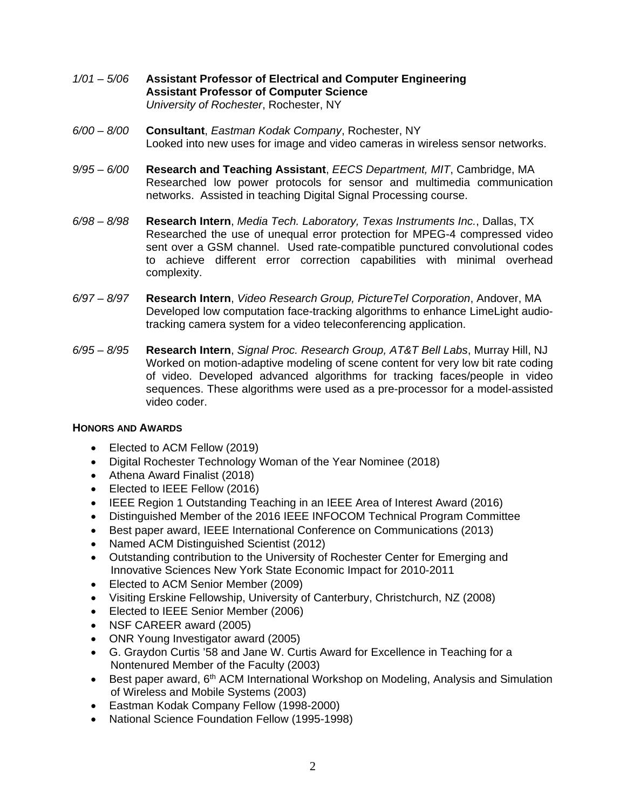- *1/01 – 5/06* **Assistant Professor of Electrical and Computer Engineering Assistant Professor of Computer Science** *University of Rochester*, Rochester, NY
- *6/00 – 8/00* **Consultant**, *Eastman Kodak Company*, Rochester, NY Looked into new uses for image and video cameras in wireless sensor networks.
- *9/95 – 6/00* **Research and Teaching Assistant**, *EECS Department, MIT*, Cambridge, MA Researched low power protocols for sensor and multimedia communication networks. Assisted in teaching Digital Signal Processing course.
- *6/98 – 8/98* **Research Intern**, *Media Tech. Laboratory, Texas Instruments Inc.*, Dallas, TX Researched the use of unequal error protection for MPEG-4 compressed video sent over a GSM channel. Used rate-compatible punctured convolutional codes to achieve different error correction capabilities with minimal overhead complexity.
- *6/97 – 8/97* **Research Intern**, *Video Research Group, PictureTel Corporation*, Andover, MA Developed low computation face-tracking algorithms to enhance LimeLight audiotracking camera system for a video teleconferencing application.
- *6/95 – 8/95* **Research Intern**, *Signal Proc. Research Group, AT&T Bell Labs*, Murray Hill, NJ Worked on motion-adaptive modeling of scene content for very low bit rate coding of video. Developed advanced algorithms for tracking faces/people in video sequences. These algorithms were used as a pre-processor for a model-assisted video coder.

## **HONORS AND AWARDS**

- Elected to ACM Fellow (2019)
- Digital Rochester Technology Woman of the Year Nominee (2018)
- Athena Award Finalist (2018)
- Elected to IEEE Fellow (2016)
- IEEE Region 1 Outstanding Teaching in an IEEE Area of Interest Award (2016)
- Distinguished Member of the 2016 IEEE INFOCOM Technical Program Committee
- Best paper award, IEEE International Conference on Communications (2013)
- Named ACM Distinguished Scientist (2012)
- Outstanding contribution to the University of Rochester Center for Emerging and Innovative Sciences New York State Economic Impact for 2010-2011
- Elected to ACM Senior Member (2009)
- Visiting Erskine Fellowship, University of Canterbury, Christchurch, NZ (2008)
- Elected to IEEE Senior Member (2006)
- NSF CAREER award (2005)
- ONR Young Investigator award (2005)
- G. Graydon Curtis '58 and Jane W. Curtis Award for Excellence in Teaching for a Nontenured Member of the Faculty (2003)
- Best paper award,  $6<sup>th</sup>$  ACM International Workshop on Modeling, Analysis and Simulation of Wireless and Mobile Systems (2003)
- Eastman Kodak Company Fellow (1998-2000)
- National Science Foundation Fellow (1995-1998)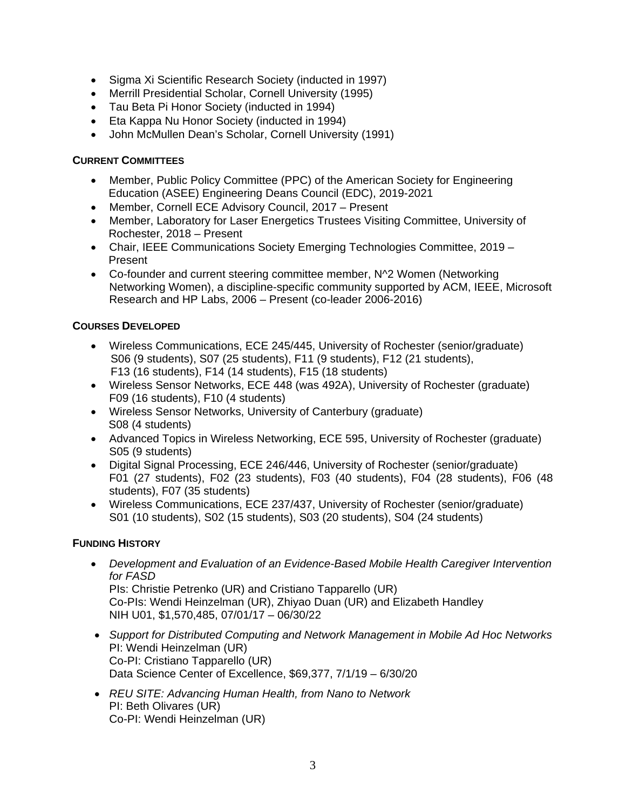- Sigma Xi Scientific Research Society (inducted in 1997)
- Merrill Presidential Scholar, Cornell University (1995)
- Tau Beta Pi Honor Society (inducted in 1994)
- Eta Kappa Nu Honor Society (inducted in 1994)
- John McMullen Dean's Scholar, Cornell University (1991)

# **CURRENT COMMITTEES**

- Member, Public Policy Committee (PPC) of the American Society for Engineering Education (ASEE) Engineering Deans Council (EDC), 2019-2021
- Member, Cornell ECE Advisory Council, 2017 Present
- Member, Laboratory for Laser Energetics Trustees Visiting Committee, University of Rochester, 2018 – Present
- Chair, IEEE Communications Society Emerging Technologies Committee, 2019 Present
- Co-founder and current steering committee member, N^2 Women (Networking Networking Women), a discipline-specific community supported by ACM, IEEE, Microsoft Research and HP Labs, 2006 – Present (co-leader 2006-2016)

# **COURSES DEVELOPED**

- Wireless Communications, ECE 245/445, University of Rochester (senior/graduate) S06 (9 students), S07 (25 students), F11 (9 students), F12 (21 students), F13 (16 students), F14 (14 students), F15 (18 students)
- Wireless Sensor Networks, ECE 448 (was 492A), University of Rochester (graduate) F09 (16 students), F10 (4 students)
- Wireless Sensor Networks, University of Canterbury (graduate) S08 (4 students)
- Advanced Topics in Wireless Networking, ECE 595, University of Rochester (graduate) S05 (9 students)
- Digital Signal Processing, ECE 246/446, University of Rochester (senior/graduate) F01 (27 students), F02 (23 students), F03 (40 students), F04 (28 students), F06 (48 students), F07 (35 students)
- Wireless Communications, ECE 237/437, University of Rochester (senior/graduate) S01 (10 students), S02 (15 students), S03 (20 students), S04 (24 students)

# **FUNDING HISTORY**

- *Development and Evaluation of an Evidence-Based Mobile Health Caregiver Intervention for FASD* PIs: Christie Petrenko (UR) and Cristiano Tapparello (UR) Co-PIs: Wendi Heinzelman (UR), Zhiyao Duan (UR) and Elizabeth Handley NIH U01, \$1,570,485, 07/01/17 – 06/30/22
- *Support for Distributed Computing and Network Management in Mobile Ad Hoc Networks* PI: Wendi Heinzelman (UR) Co-PI: Cristiano Tapparello (UR) Data Science Center of Excellence, \$69,377, 7/1/19 – 6/30/20
- *REU SITE: Advancing Human Health, from Nano to Network* PI: Beth Olivares (UR) Co-PI: Wendi Heinzelman (UR)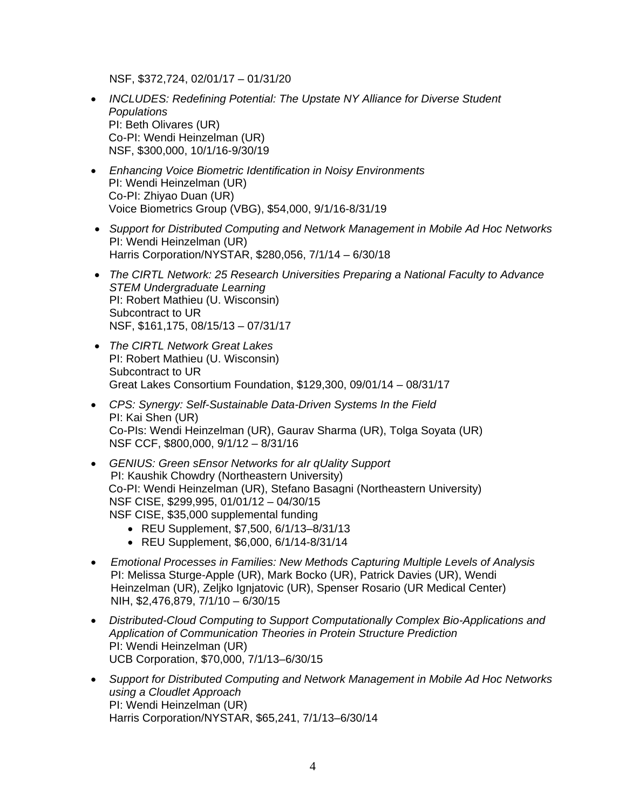NSF, \$372,724, 02/01/17 – 01/31/20

- *INCLUDES: Redefining Potential: The Upstate NY Alliance for Diverse Student Populations* PI: Beth Olivares (UR) Co-PI: Wendi Heinzelman (UR) NSF, \$300,000, 10/1/16-9/30/19
- *Enhancing Voice Biometric Identification in Noisy Environments* PI: Wendi Heinzelman (UR) Co-PI: Zhiyao Duan (UR) Voice Biometrics Group (VBG), \$54,000, 9/1/16-8/31/19
- *Support for Distributed Computing and Network Management in Mobile Ad Hoc Networks* PI: Wendi Heinzelman (UR) Harris Corporation/NYSTAR, \$280,056, 7/1/14 – 6/30/18
- *The CIRTL Network: 25 Research Universities Preparing a National Faculty to Advance STEM Undergraduate Learning* PI: Robert Mathieu (U. Wisconsin) Subcontract to UR NSF, \$161,175, 08/15/13 – 07/31/17
- *The CIRTL Network Great Lakes* PI: Robert Mathieu (U. Wisconsin) Subcontract to UR Great Lakes Consortium Foundation, \$129,300, 09/01/14 – 08/31/17
- *CPS: Synergy: Self-Sustainable Data-Driven Systems In the Field* PI: Kai Shen (UR) Co-PIs: Wendi Heinzelman (UR), Gaurav Sharma (UR), Tolga Soyata (UR) NSF CCF, \$800,000, 9/1/12 – 8/31/16
- *GENIUS: Green sEnsor Networks for aIr qUality Support* PI: Kaushik Chowdry (Northeastern University) Co-PI: Wendi Heinzelman (UR), Stefano Basagni (Northeastern University) NSF CISE, \$299,995, 01/01/12 – 04/30/15 NSF CISE, \$35,000 supplemental funding
	- REU Supplement, \$7,500, 6/1/13–8/31/13
	- REU Supplement, \$6,000, 6/1/14-8/31/14
- *Emotional Processes in Families: New Methods Capturing Multiple Levels of Analysis* PI: Melissa Sturge-Apple (UR), Mark Bocko (UR), Patrick Davies (UR), Wendi Heinzelman (UR), Zeljko Ignjatovic (UR), Spenser Rosario (UR Medical Center) NIH, \$2,476,879, 7/1/10 – 6/30/15
- *Distributed-Cloud Computing to Support Computationally Complex Bio-Applications and Application of Communication Theories in Protein Structure Prediction* PI: Wendi Heinzelman (UR) UCB Corporation, \$70,000, 7/1/13–6/30/15
- *Support for Distributed Computing and Network Management in Mobile Ad Hoc Networks using a Cloudlet Approach* PI: Wendi Heinzelman (UR) Harris Corporation/NYSTAR, \$65,241, 7/1/13–6/30/14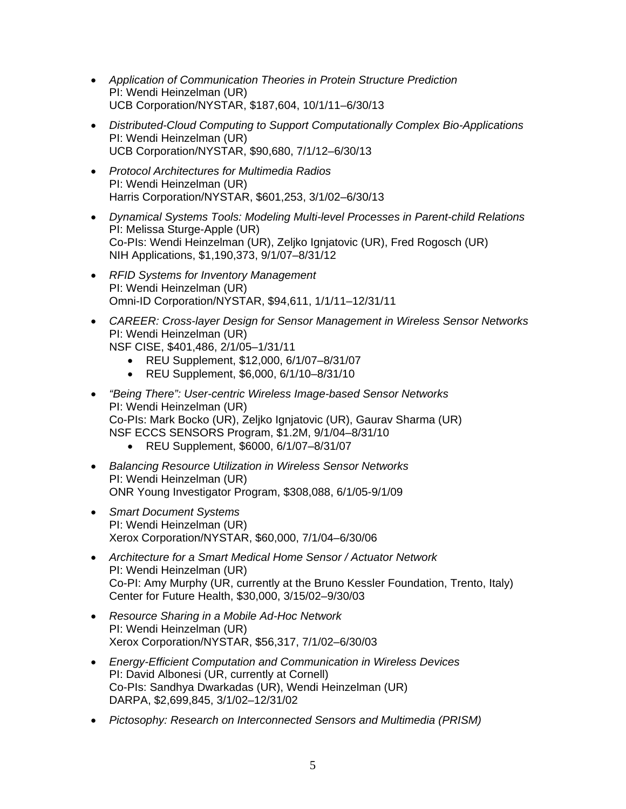- *Application of Communication Theories in Protein Structure Prediction* PI: Wendi Heinzelman (UR) UCB Corporation/NYSTAR, \$187,604, 10/1/11–6/30/13
- *Distributed-Cloud Computing to Support Computationally Complex Bio-Applications* PI: Wendi Heinzelman (UR) UCB Corporation/NYSTAR, \$90,680, 7/1/12–6/30/13
- *Protocol Architectures for Multimedia Radios* PI: Wendi Heinzelman (UR) Harris Corporation/NYSTAR, \$601,253, 3/1/02–6/30/13
- *Dynamical Systems Tools: Modeling Multi-level Processes in Parent-child Relations* PI: Melissa Sturge-Apple (UR) Co-PIs: Wendi Heinzelman (UR), Zeljko Ignjatovic (UR), Fred Rogosch (UR) NIH Applications, \$1,190,373, 9/1/07–8/31/12
- *RFID Systems for Inventory Management* PI: Wendi Heinzelman (UR) Omni-ID Corporation/NYSTAR, \$94,611, 1/1/11–12/31/11
- *CAREER: Cross-layer Design for Sensor Management in Wireless Sensor Networks* PI: Wendi Heinzelman (UR)
	- NSF CISE, \$401,486, 2/1/05–1/31/11
		- REU Supplement, \$12,000, 6/1/07–8/31/07
		- REU Supplement, \$6,000, 6/1/10–8/31/10
- *"Being There": User-centric Wireless Image-based Sensor Networks* PI: Wendi Heinzelman (UR) Co-PIs: Mark Bocko (UR), Zeljko Ignjatovic (UR), Gaurav Sharma (UR) NSF ECCS SENSORS Program, \$1.2M, 9/1/04–8/31/10
	- REU Supplement, \$6000, 6/1/07–8/31/07
- *Balancing Resource Utilization in Wireless Sensor Networks* PI: Wendi Heinzelman (UR) ONR Young Investigator Program, \$308,088, 6/1/05-9/1/09
- *Smart Document Systems* PI: Wendi Heinzelman (UR) Xerox Corporation/NYSTAR, \$60,000, 7/1/04–6/30/06
- *Architecture for a Smart Medical Home Sensor / Actuator Network* PI: Wendi Heinzelman (UR) Co-PI: Amy Murphy (UR, currently at the Bruno Kessler Foundation, Trento, Italy) Center for Future Health, \$30,000, 3/15/02–9/30/03
- *Resource Sharing in a Mobile Ad-Hoc Network* PI: Wendi Heinzelman (UR) Xerox Corporation/NYSTAR, \$56,317, 7/1/02–6/30/03
- *Energy-Efficient Computation and Communication in Wireless Devices* PI: David Albonesi (UR, currently at Cornell) Co-PIs: Sandhya Dwarkadas (UR), Wendi Heinzelman (UR) DARPA, \$2,699,845, 3/1/02–12/31/02
- *Pictosophy: Research on Interconnected Sensors and Multimedia (PRISM)*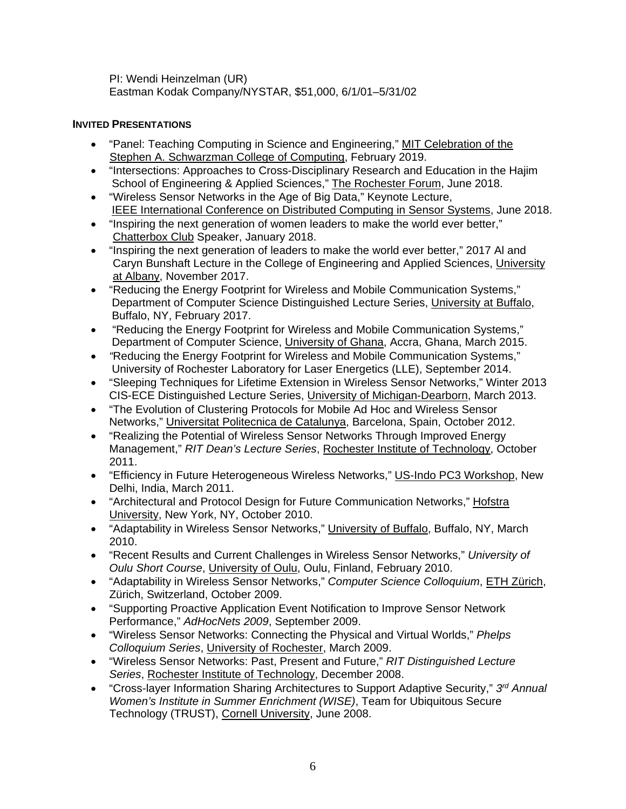PI: Wendi Heinzelman (UR) Eastman Kodak Company/NYSTAR, \$51,000, 6/1/01–5/31/02

# **INVITED PRESENTATIONS**

- "Panel: Teaching Computing in Science and Engineering," MIT Celebration of the Stephen A. Schwarzman College of Computing, February 2019.
- "Intersections: Approaches to Cross-Disciplinary Research and Education in the Hajim School of Engineering & Applied Sciences," The Rochester Forum, June 2018.
- "Wireless Sensor Networks in the Age of Big Data," Keynote Lecture, IEEE International Conference on Distributed Computing in Sensor Systems, June 2018.
- "Inspiring the next generation of women leaders to make the world ever better," Chatterbox Club Speaker, January 2018.
- "Inspiring the next generation of leaders to make the world ever better," 2017 Al and Caryn Bunshaft Lecture in the College of Engineering and Applied Sciences, University at Albany, November 2017.
- "Reducing the Energy Footprint for Wireless and Mobile Communication Systems," Department of Computer Science Distinguished Lecture Series, University at Buffalo, Buffalo, NY, February 2017.
- "Reducing the Energy Footprint for Wireless and Mobile Communication Systems," Department of Computer Science, University of Ghana, Accra, Ghana, March 2015.
- *"*Reducing the Energy Footprint for Wireless and Mobile Communication Systems," University of Rochester Laboratory for Laser Energetics (LLE), September 2014.
- "Sleeping Techniques for Lifetime Extension in Wireless Sensor Networks," Winter 2013 CIS-ECE Distinguished Lecture Series, University of Michigan-Dearborn, March 2013.
- "The Evolution of Clustering Protocols for Mobile Ad Hoc and Wireless Sensor Networks," Universitat Politecnica de Catalunya, Barcelona, Spain, October 2012.
- "Realizing the Potential of Wireless Sensor Networks Through Improved Energy Management," *RIT Dean's Lecture Series*, Rochester Institute of Technology, October 2011.
- "Efficiency in Future Heterogeneous Wireless Networks," US-Indo PC3 Workshop, New Delhi, India, March 2011.
- "Architectural and Protocol Design for Future Communication Networks," Hofstra University, New York, NY, October 2010.
- "Adaptability in Wireless Sensor Networks," University of Buffalo, Buffalo, NY, March 2010.
- "Recent Results and Current Challenges in Wireless Sensor Networks," *University of Oulu Short Course*, University of Oulu, Oulu, Finland, February 2010.
- "Adaptability in Wireless Sensor Networks," *Computer Science Colloquium*, ETH Zürich, Zürich, Switzerland, October 2009.
- "Supporting Proactive Application Event Notification to Improve Sensor Network Performance," *AdHocNets 2009*, September 2009.
- "Wireless Sensor Networks: Connecting the Physical and Virtual Worlds," *Phelps Colloquium Series*, University of Rochester, March 2009.
- "Wireless Sensor Networks: Past, Present and Future," *RIT Distinguished Lecture Series*, Rochester Institute of Technology, December 2008.
- "Cross-layer Information Sharing Architectures to Support Adaptive Security," *3rd Annual Women's Institute in Summer Enrichment (WISE)*, Team for Ubiquitous Secure Technology (TRUST), Cornell University, June 2008.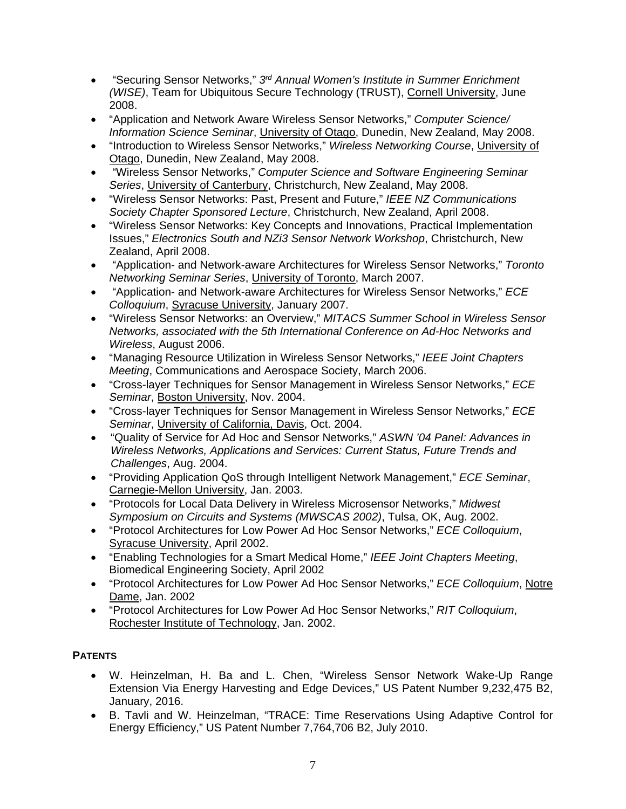- "Securing Sensor Networks," *3rd Annual Women's Institute in Summer Enrichment (WISE)*, Team for Ubiquitous Secure Technology (TRUST), Cornell University, June 2008.
- "Application and Network Aware Wireless Sensor Networks," *Computer Science/ Information Science Seminar*, University of Otago, Dunedin, New Zealand, May 2008.
- "Introduction to Wireless Sensor Networks," *Wireless Networking Course*, University of Otago, Dunedin, New Zealand, May 2008.
- "Wireless Sensor Networks," *Computer Science and Software Engineering Seminar Series*, University of Canterbury, Christchurch, New Zealand, May 2008.
- "Wireless Sensor Networks: Past, Present and Future," *IEEE NZ Communications Society Chapter Sponsored Lecture*, Christchurch, New Zealand, April 2008.
- "Wireless Sensor Networks: Key Concepts and Innovations, Practical Implementation Issues," *Electronics South and NZi3 Sensor Network Workshop*, Christchurch, New Zealand, April 2008.
- "Application- and Network-aware Architectures for Wireless Sensor Networks," *Toronto Networking Seminar Series*, University of Toronto, March 2007.
- "Application- and Network-aware Architectures for Wireless Sensor Networks," *ECE Colloquium*, Syracuse University, January 2007.
- "Wireless Sensor Networks: an Overview," *MITACS Summer School in Wireless Sensor Networks, associated with the 5th International Conference on Ad-Hoc Networks and Wireless*, August 2006.
- "Managing Resource Utilization in Wireless Sensor Networks," *IEEE Joint Chapters Meeting*, Communications and Aerospace Society, March 2006.
- "Cross-layer Techniques for Sensor Management in Wireless Sensor Networks," *ECE Seminar*, Boston University, Nov. 2004.
- "Cross-layer Techniques for Sensor Management in Wireless Sensor Networks," *ECE Seminar*, University of California, Davis, Oct. 2004.
- "Quality of Service for Ad Hoc and Sensor Networks," *ASWN '04 Panel: Advances in Wireless Networks, Applications and Services: Current Status, Future Trends and Challenges*, Aug. 2004.
- "Providing Application QoS through Intelligent Network Management," *ECE Seminar*, Carnegie-Mellon University, Jan. 2003.
- "Protocols for Local Data Delivery in Wireless Microsensor Networks," *Midwest Symposium on Circuits and Systems (MWSCAS 2002)*, Tulsa, OK, Aug. 2002.
- "Protocol Architectures for Low Power Ad Hoc Sensor Networks," *ECE Colloquium*, Syracuse University, April 2002.
- "Enabling Technologies for a Smart Medical Home," *IEEE Joint Chapters Meeting*, Biomedical Engineering Society, April 2002
- "Protocol Architectures for Low Power Ad Hoc Sensor Networks," *ECE Colloquium*, Notre Dame, Jan. 2002
- "Protocol Architectures for Low Power Ad Hoc Sensor Networks," *RIT Colloquium*, Rochester Institute of Technology, Jan. 2002.

# **PATENTS**

- W. Heinzelman, H. Ba and L. Chen, "Wireless Sensor Network Wake-Up Range Extension Via Energy Harvesting and Edge Devices," US Patent Number 9,232,475 B2, January, 2016.
- B. Tavli and W. Heinzelman, "TRACE: Time Reservations Using Adaptive Control for Energy Efficiency," US Patent Number 7,764,706 B2, July 2010.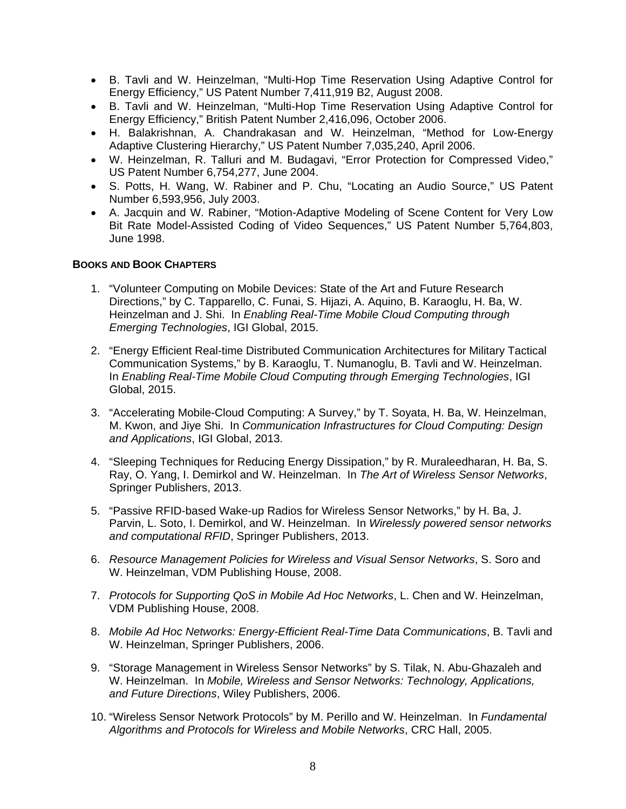- B. Tavli and W. Heinzelman, "Multi-Hop Time Reservation Using Adaptive Control for Energy Efficiency," US Patent Number 7,411,919 B2, August 2008.
- B. Tavli and W. Heinzelman, "Multi-Hop Time Reservation Using Adaptive Control for Energy Efficiency," British Patent Number 2,416,096, October 2006.
- H. Balakrishnan, A. Chandrakasan and W. Heinzelman, "Method for Low-Energy Adaptive Clustering Hierarchy," US Patent Number 7,035,240, April 2006.
- W. Heinzelman, R. Talluri and M. Budagavi, "Error Protection for Compressed Video," US Patent Number 6,754,277, June 2004.
- S. Potts, H. Wang, W. Rabiner and P. Chu, "Locating an Audio Source," US Patent Number 6,593,956, July 2003.
- A. Jacquin and W. Rabiner, "Motion-Adaptive Modeling of Scene Content for Very Low Bit Rate Model-Assisted Coding of Video Sequences," US Patent Number 5,764,803, June 1998.

## **BOOKS AND BOOK CHAPTERS**

- 1. "Volunteer Computing on Mobile Devices: State of the Art and Future Research Directions," by C. Tapparello, C. Funai, S. Hijazi, A. Aquino, B. Karaoglu, H. Ba, W. Heinzelman and J. Shi. In *Enabling Real-Time Mobile Cloud Computing through Emerging Technologies*, IGI Global, 2015.
- 2. "Energy Efficient Real-time Distributed Communication Architectures for Military Tactical Communication Systems," by B. Karaoglu, T. Numanoglu, B. Tavli and W. Heinzelman. In *Enabling Real-Time Mobile Cloud Computing through Emerging Technologies*, IGI Global, 2015.
- 3. "Accelerating Mobile-Cloud Computing: A Survey," by T. Soyata, H. Ba, W. Heinzelman, M. Kwon, and Jiye Shi. In *Communication Infrastructures for Cloud Computing: Design and Applications*, IGI Global, 2013.
- 4. "Sleeping Techniques for Reducing Energy Dissipation," by R. Muraleedharan, H. Ba, S. Ray, O. Yang, I. Demirkol and W. Heinzelman. In *The Art of Wireless Sensor Networks*, Springer Publishers, 2013.
- 5. "Passive RFID-based Wake-up Radios for Wireless Sensor Networks," by H. Ba, J. Parvin, L. Soto, I. Demirkol, and W. Heinzelman. In *Wirelessly powered sensor networks and computational RFID*, Springer Publishers, 2013.
- 6. *Resource Management Policies for Wireless and Visual Sensor Networks*, S. Soro and W. Heinzelman, VDM Publishing House, 2008.
- 7. *Protocols for Supporting QoS in Mobile Ad Hoc Networks*, L. Chen and W. Heinzelman, VDM Publishing House, 2008.
- 8. *Mobile Ad Hoc Networks: Energy-Efficient Real-Time Data Communications*, B. Tavli and W. Heinzelman, Springer Publishers, 2006.
- 9. "Storage Management in Wireless Sensor Networks" by S. Tilak, N. Abu-Ghazaleh and W. Heinzelman. In *Mobile, Wireless and Sensor Networks: Technology, Applications, and Future Directions*, Wiley Publishers, 2006.
- 10. "Wireless Sensor Network Protocols" by M. Perillo and W. Heinzelman. In *Fundamental Algorithms and Protocols for Wireless and Mobile Networks*, CRC Hall, 2005.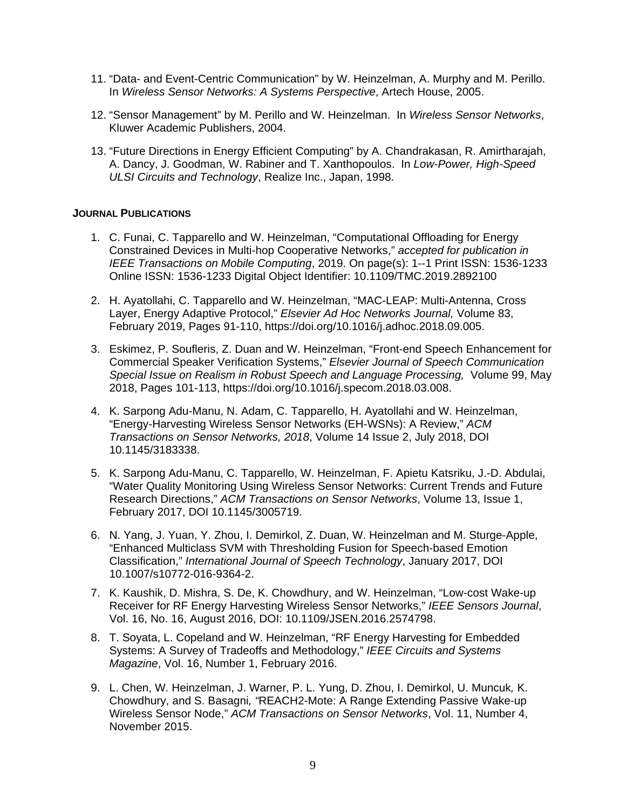- 11. "Data- and Event-Centric Communication" by W. Heinzelman, A. Murphy and M. Perillo. In *Wireless Sensor Networks: A Systems Perspective*, Artech House, 2005.
- 12. "Sensor Management" by M. Perillo and W. Heinzelman. In *Wireless Sensor Networks*, Kluwer Academic Publishers, 2004.
- 13. "Future Directions in Energy Efficient Computing" by A. Chandrakasan, R. Amirtharajah, A. Dancy, J. Goodman, W. Rabiner and T. Xanthopoulos. In *Low-Power, High-Speed ULSI Circuits and Technology*, Realize Inc., Japan, 1998.

#### **JOURNAL PUBLICATIONS**

- 1. C. Funai, C. Tapparello and W. Heinzelman, "Computational Offloading for Energy Constrained Devices in Multi-hop Cooperative Networks," *accepted for publication in IEEE Transactions on Mobile Computing*, 2019. On page(s): 1--1 Print ISSN: 1536-1233 Online ISSN: 1536-1233 Digital Object Identifier: 10.1109/TMC.2019.2892100
- 2. H. Ayatollahi, C. Tapparello and W. Heinzelman, "MAC-LEAP: Multi-Antenna, Cross Layer, Energy Adaptive Protocol," *Elsevier Ad Hoc Networks Journal,* Volume 83, February 2019, Pages 91-110, https://doi.org/10.1016/j.adhoc.2018.09.005.
- 3. Eskimez, P. Soufleris, Z. Duan and W. Heinzelman, "Front-end Speech Enhancement for Commercial Speaker Verification Systems," *Elsevier Journal of Speech Communication Special Issue on Realism in Robust Speech and Language Processing,* Volume 99, May 2018, Pages 101-113, https://doi.org/10.1016/j.specom.2018.03.008.
- 4. K. Sarpong Adu-Manu, N. Adam, C. Tapparello, H. Ayatollahi and W. Heinzelman, "Energy-Harvesting Wireless Sensor Networks (EH-WSNs): A Review," *ACM Transactions on Sensor Networks, 2018*, Volume 14 Issue 2, July 2018, DOI 10.1145/3183338.
- 5. K. Sarpong Adu-Manu, C. Tapparello, W. Heinzelman, F. Apietu Katsriku, J.-D. Abdulai, "Water Quality Monitoring Using Wireless Sensor Networks: Current Trends and Future Research Directions," *ACM Transactions on Sensor Networks*, Volume 13, Issue 1, February 2017, DOI 10.1145/3005719.
- 6. N. Yang, J. Yuan, Y. Zhou, I. Demirkol, Z. Duan, W. Heinzelman and M. Sturge-Apple, "Enhanced Multiclass SVM with Thresholding Fusion for Speech-based Emotion Classification," *International Journal of Speech Technology*, January 2017, DOI 10.1007/s10772-016-9364-2.
- 7. K. Kaushik, D. Mishra, S. De, K. Chowdhury, and W. Heinzelman, "Low-cost Wake-up Receiver for RF Energy Harvesting Wireless Sensor Networks," *IEEE Sensors Journal*, Vol. 16, No. 16, August 2016, DOI: 10.1109/JSEN.2016.2574798.
- 8. T. Soyata, L. Copeland and W. Heinzelman, "RF Energy Harvesting for Embedded Systems: A Survey of Tradeoffs and Methodology," *IEEE Circuits and Systems Magazine*, Vol. 16, Number 1, February 2016.
- 9. L. Chen, W. Heinzelman, J. Warner, P. L. Yung, D. Zhou, I. Demirkol, U. Muncuk*,* K. Chowdhury, and S. Basagni*, "*REACH2-Mote: A Range Extending Passive Wake-up Wireless Sensor Node," *ACM Transactions on Sensor Networks*, Vol. 11, Number 4, November 2015.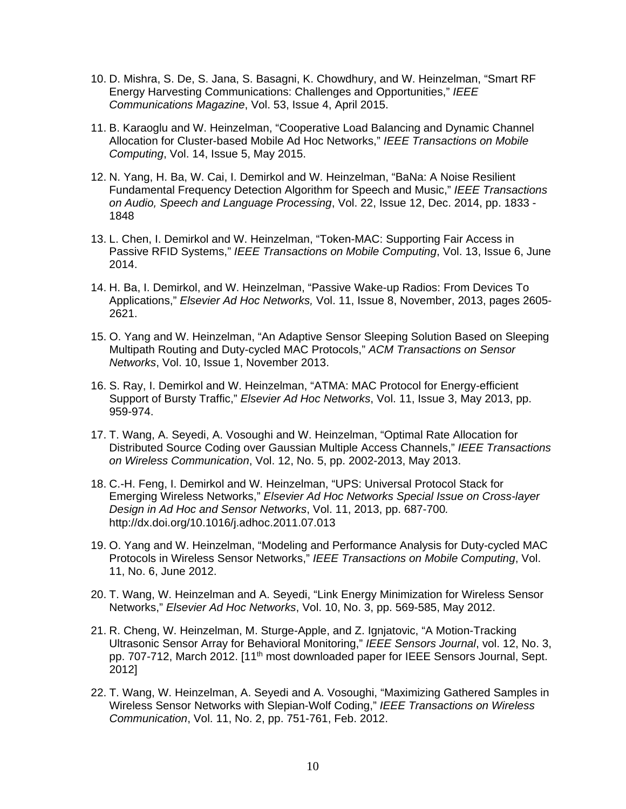- 10. D. Mishra, S. De, S. Jana, S. Basagni, K. Chowdhury, and W. Heinzelman, "Smart RF Energy Harvesting Communications: Challenges and Opportunities," *IEEE Communications Magazine*, Vol. 53, Issue 4, April 2015.
- 11. B. Karaoglu and W. Heinzelman, "Cooperative Load Balancing and Dynamic Channel Allocation for Cluster-based Mobile Ad Hoc Networks," *IEEE Transactions on Mobile Computing*, Vol. 14, Issue 5, May 2015.
- 12. N. Yang, H. Ba, W. Cai, I. Demirkol and W. Heinzelman, "BaNa: A Noise Resilient Fundamental Frequency Detection Algorithm for Speech and Music," *IEEE Transactions on Audio, Speech and Language Processing*, Vol. 22, Issue 12, Dec. 2014, pp. 1833 - 1848
- 13. L. Chen, I. Demirkol and W. Heinzelman, "Token-MAC: Supporting Fair Access in Passive RFID Systems," *IEEE Transactions on Mobile Computing*, Vol. 13, Issue 6, June 2014.
- 14. H. Ba, I. Demirkol, and W. Heinzelman, "Passive Wake-up Radios: From Devices To Applications," *Elsevier Ad Hoc Networks,* Vol. 11, Issue 8, November, 2013, pages 2605- 2621.
- 15. O. Yang and W. Heinzelman, "An Adaptive Sensor Sleeping Solution Based on Sleeping Multipath Routing and Duty-cycled MAC Protocols," *ACM Transactions on Sensor Networks*, Vol. 10, Issue 1, November 2013.
- 16. S. Ray, I. Demirkol and W. Heinzelman, "ATMA: MAC Protocol for Energy-efficient Support of Bursty Traffic," *Elsevier Ad Hoc Networks*, Vol. 11, Issue 3, May 2013, pp. 959-974.
- 17. T. Wang, A. Seyedi, A. Vosoughi and W. Heinzelman, "Optimal Rate Allocation for Distributed Source Coding over Gaussian Multiple Access Channels," *IEEE Transactions on Wireless Communication*, Vol. 12, No. 5, pp. 2002-2013, May 2013.
- 18. C.-H. Feng, I. Demirkol and W. Heinzelman, "UPS: Universal Protocol Stack for Emerging Wireless Networks," *Elsevier Ad Hoc Networks Special Issue on Cross-layer Design in Ad Hoc and Sensor Networks*, Vol. 11, 2013, pp. 687-700*.* http://dx.doi.org/10.1016/j.adhoc.2011.07.013
- 19. O. Yang and W. Heinzelman, "Modeling and Performance Analysis for Duty-cycled MAC Protocols in Wireless Sensor Networks," *IEEE Transactions on Mobile Computing*, Vol. 11, No. 6, June 2012.
- 20. T. Wang, W. Heinzelman and A. Seyedi, "Link Energy Minimization for Wireless Sensor Networks," *Elsevier Ad Hoc Networks*, Vol. 10, No. 3, pp. 569-585, May 2012.
- 21. R. Cheng, W. Heinzelman, M. Sturge-Apple, and Z. Ignjatovic, "A Motion-Tracking Ultrasonic Sensor Array for Behavioral Monitoring," *IEEE Sensors Journal*, vol. 12, No. 3, pp. 707-712, March 2012. [11<sup>th</sup> most downloaded paper for IEEE Sensors Journal, Sept. 2012]
- 22. T. Wang, W. Heinzelman, A. Seyedi and A. Vosoughi, "Maximizing Gathered Samples in Wireless Sensor Networks with Slepian-Wolf Coding," *IEEE Transactions on Wireless Communication*, Vol. 11, No. 2, pp. 751-761, Feb. 2012.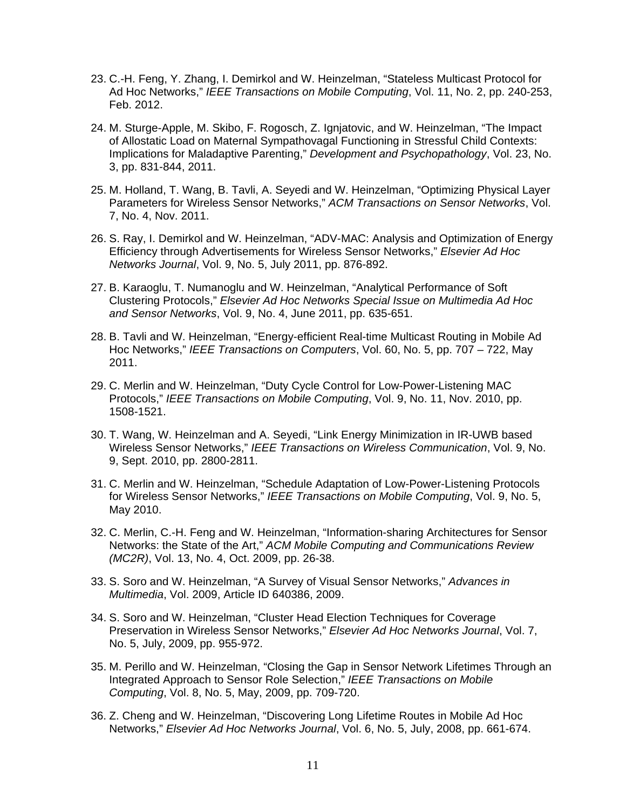- 23. C.-H. Feng, Y. Zhang, I. Demirkol and W. Heinzelman, "Stateless Multicast Protocol for Ad Hoc Networks," *IEEE Transactions on Mobile Computing*, Vol. 11, No. 2, pp. 240-253, Feb. 2012.
- 24. M. Sturge-Apple, M. Skibo, F. Rogosch, Z. Ignjatovic, and W. Heinzelman, "The Impact of Allostatic Load on Maternal Sympathovagal Functioning in Stressful Child Contexts: Implications for Maladaptive Parenting," *Development and Psychopathology*, Vol. 23, No. 3, pp. 831-844, 2011.
- 25. M. Holland, T. Wang, B. Tavli, A. Seyedi and W. Heinzelman, "Optimizing Physical Layer Parameters for Wireless Sensor Networks," *ACM Transactions on Sensor Networks*, Vol. 7, No. 4, Nov. 2011.
- 26. S. Ray, I. Demirkol and W. Heinzelman, "ADV-MAC: Analysis and Optimization of Energy Efficiency through Advertisements for Wireless Sensor Networks," *Elsevier Ad Hoc Networks Journal*, Vol. 9, No. 5, July 2011, pp. 876-892.
- 27. B. Karaoglu, T. Numanoglu and W. Heinzelman, "Analytical Performance of Soft Clustering Protocols," *Elsevier Ad Hoc Networks Special Issue on Multimedia Ad Hoc and Sensor Networks*, Vol. 9, No. 4, June 2011, pp. 635-651.
- 28. B. Tavli and W. Heinzelman, "Energy-efficient Real-time Multicast Routing in Mobile Ad Hoc Networks," *IEEE Transactions on Computers*, Vol. 60, No. 5, pp. 707 – 722, May 2011.
- 29. C. Merlin and W. Heinzelman, "Duty Cycle Control for Low-Power-Listening MAC Protocols," *IEEE Transactions on Mobile Computing*, Vol. 9, No. 11, Nov. 2010, pp. 1508-1521.
- 30. T. Wang, W. Heinzelman and A. Seyedi, "Link Energy Minimization in IR-UWB based Wireless Sensor Networks," *IEEE Transactions on Wireless Communication*, Vol. 9, No. 9, Sept. 2010, pp. 2800-2811.
- 31. C. Merlin and W. Heinzelman, "Schedule Adaptation of Low-Power-Listening Protocols for Wireless Sensor Networks," *IEEE Transactions on Mobile Computing*, Vol. 9, No. 5, May 2010.
- 32. C. Merlin, C.-H. Feng and W. Heinzelman, "Information-sharing Architectures for Sensor Networks: the State of the Art," *ACM Mobile Computing and Communications Review (MC2R)*, Vol. 13, No. 4, Oct. 2009, pp. 26-38.
- 33. S. Soro and W. Heinzelman, "A Survey of Visual Sensor Networks," *Advances in Multimedia*, Vol. 2009, Article ID 640386, 2009.
- 34. S. Soro and W. Heinzelman, "Cluster Head Election Techniques for Coverage Preservation in Wireless Sensor Networks," *Elsevier Ad Hoc Networks Journal*, Vol. 7, No. 5, July, 2009, pp. 955-972.
- 35. M. Perillo and W. Heinzelman, "Closing the Gap in Sensor Network Lifetimes Through an Integrated Approach to Sensor Role Selection," *IEEE Transactions on Mobile Computing*, Vol. 8, No. 5, May, 2009, pp. 709-720.
- 36. Z. Cheng and W. Heinzelman, "Discovering Long Lifetime Routes in Mobile Ad Hoc Networks," *Elsevier Ad Hoc Networks Journal*, Vol. 6, No. 5, July, 2008, pp. 661-674.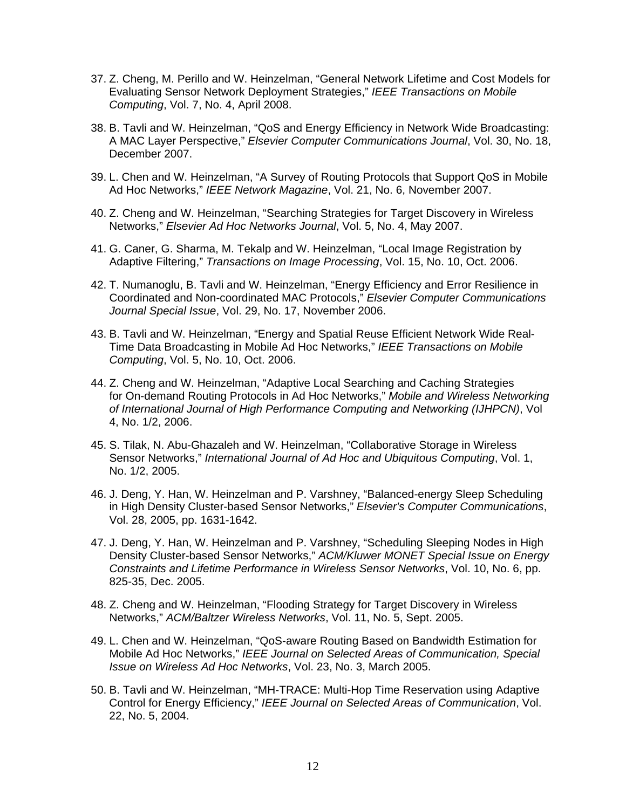- 37. Z. Cheng, M. Perillo and W. Heinzelman, "General Network Lifetime and Cost Models for Evaluating Sensor Network Deployment Strategies," *IEEE Transactions on Mobile Computing*, Vol. 7, No. 4, April 2008.
- 38. B. Tavli and W. Heinzelman, "QoS and Energy Efficiency in Network Wide Broadcasting: A MAC Layer Perspective," *Elsevier Computer Communications Journal*, Vol. 30, No. 18, December 2007.
- 39. L. Chen and W. Heinzelman, "A Survey of Routing Protocols that Support QoS in Mobile Ad Hoc Networks," *IEEE Network Magazine*, Vol. 21, No. 6, November 2007.
- 40. Z. Cheng and W. Heinzelman, "Searching Strategies for Target Discovery in Wireless Networks," *Elsevier Ad Hoc Networks Journal*, Vol. 5, No. 4, May 2007.
- 41. G. Caner, G. Sharma, M. Tekalp and W. Heinzelman, "Local Image Registration by Adaptive Filtering," *Transactions on Image Processing*, Vol. 15, No. 10, Oct. 2006.
- 42. T. Numanoglu, B. Tavli and W. Heinzelman, "Energy Efficiency and Error Resilience in Coordinated and Non-coordinated MAC Protocols," *Elsevier Computer Communications Journal Special Issue*, Vol. 29, No. 17, November 2006.
- 43. B. Tavli and W. Heinzelman, "Energy and Spatial Reuse Efficient Network Wide Real-Time Data Broadcasting in Mobile Ad Hoc Networks," *IEEE Transactions on Mobile Computing*, Vol. 5, No. 10, Oct. 2006.
- 44. Z. Cheng and W. Heinzelman, "Adaptive Local Searching and Caching Strategies for On-demand Routing Protocols in Ad Hoc Networks," *Mobile and Wireless Networking of International Journal of High Performance Computing and Networking (IJHPCN)*, Vol 4, No. 1/2, 2006.
- 45. S. Tilak, N. Abu-Ghazaleh and W. Heinzelman, "Collaborative Storage in Wireless Sensor Networks," *International Journal of Ad Hoc and Ubiquitous Computing*, Vol. 1, No. 1/2, 2005.
- 46. J. Deng, Y. Han, W. Heinzelman and P. Varshney, "Balanced-energy Sleep Scheduling in High Density Cluster-based Sensor Networks," *Elsevier's Computer Communications*, Vol. 28, 2005, pp. 1631-1642.
- 47. J. Deng, Y. Han, W. Heinzelman and P. Varshney, "Scheduling Sleeping Nodes in High Density Cluster-based Sensor Networks," *ACM/Kluwer MONET Special Issue on Energy Constraints and Lifetime Performance in Wireless Sensor Networks*, Vol. 10, No. 6, pp. 825-35, Dec. 2005.
- 48. Z. Cheng and W. Heinzelman, "Flooding Strategy for Target Discovery in Wireless Networks," *ACM/Baltzer Wireless Networks*, Vol. 11, No. 5, Sept. 2005.
- 49. L. Chen and W. Heinzelman, "QoS-aware Routing Based on Bandwidth Estimation for Mobile Ad Hoc Networks," *IEEE Journal on Selected Areas of Communication, Special Issue on Wireless Ad Hoc Networks*, Vol. 23, No. 3, March 2005.
- 50. B. Tavli and W. Heinzelman, "MH-TRACE: Multi-Hop Time Reservation using Adaptive Control for Energy Efficiency," *IEEE Journal on Selected Areas of Communication*, Vol. 22, No. 5, 2004.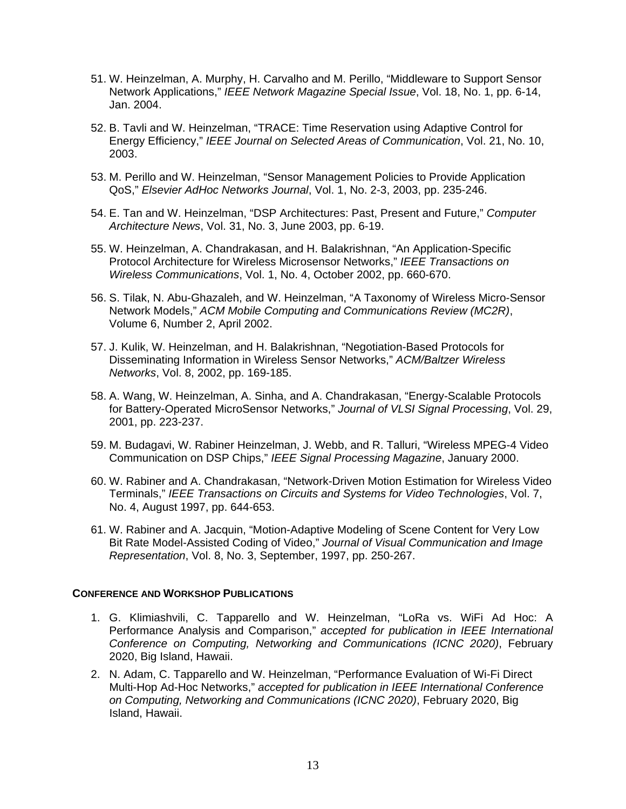- 51. W. Heinzelman, A. Murphy, H. Carvalho and M. Perillo, "Middleware to Support Sensor Network Applications," *IEEE Network Magazine Special Issue*, Vol. 18, No. 1, pp. 6-14, Jan. 2004.
- 52. B. Tavli and W. Heinzelman, "TRACE: Time Reservation using Adaptive Control for Energy Efficiency," *IEEE Journal on Selected Areas of Communication*, Vol. 21, No. 10, 2003.
- 53. M. Perillo and W. Heinzelman, "Sensor Management Policies to Provide Application QoS," *Elsevier AdHoc Networks Journal*, Vol. 1, No. 2-3, 2003, pp. 235-246.
- 54. E. Tan and W. Heinzelman, "DSP Architectures: Past, Present and Future," *Computer Architecture News*, Vol. 31, No. 3, June 2003, pp. 6-19.
- 55. W. Heinzelman, A. Chandrakasan, and H. Balakrishnan, "An Application-Specific Protocol Architecture for Wireless Microsensor Networks," *IEEE Transactions on Wireless Communications*, Vol. 1, No. 4, October 2002, pp. 660-670.
- 56. S. Tilak, N. Abu-Ghazaleh, and W. Heinzelman, "A Taxonomy of Wireless Micro-Sensor Network Models," *ACM Mobile Computing and Communications Review (MC2R)*, Volume 6, Number 2, April 2002.
- 57. J. Kulik, W. Heinzelman, and H. Balakrishnan, "Negotiation-Based Protocols for Disseminating Information in Wireless Sensor Networks," *ACM/Baltzer Wireless Networks*, Vol. 8, 2002, pp. 169-185.
- 58. A. Wang, W. Heinzelman, A. Sinha, and A. Chandrakasan, "Energy-Scalable Protocols for Battery-Operated MicroSensor Networks," *Journal of VLSI Signal Processing*, Vol. 29, 2001, pp. 223-237.
- 59. M. Budagavi, W. Rabiner Heinzelman, J. Webb, and R. Talluri, "Wireless MPEG-4 Video Communication on DSP Chips," *IEEE Signal Processing Magazine*, January 2000.
- 60. W. Rabiner and A. Chandrakasan, "Network-Driven Motion Estimation for Wireless Video Terminals," *IEEE Transactions on Circuits and Systems for Video Technologies*, Vol. 7, No. 4, August 1997, pp. 644-653.
- 61. W. Rabiner and A. Jacquin, "Motion-Adaptive Modeling of Scene Content for Very Low Bit Rate Model-Assisted Coding of Video," *Journal of Visual Communication and Image Representation*, Vol. 8, No. 3, September, 1997, pp. 250-267.

#### **CONFERENCE AND WORKSHOP PUBLICATIONS**

- 1. G. Klimiashvili, C. Tapparello and W. Heinzelman, "LoRa vs. WiFi Ad Hoc: A Performance Analysis and Comparison," *accepted for publication in IEEE International Conference on Computing, Networking and Communications (ICNC 2020)*, February 2020, Big Island, Hawaii.
- 2. N. Adam, C. Tapparello and W. Heinzelman, "Performance Evaluation of Wi-Fi Direct Multi-Hop Ad-Hoc Networks," *accepted for publication in IEEE International Conference on Computing, Networking and Communications (ICNC 2020)*, February 2020, Big Island, Hawaii.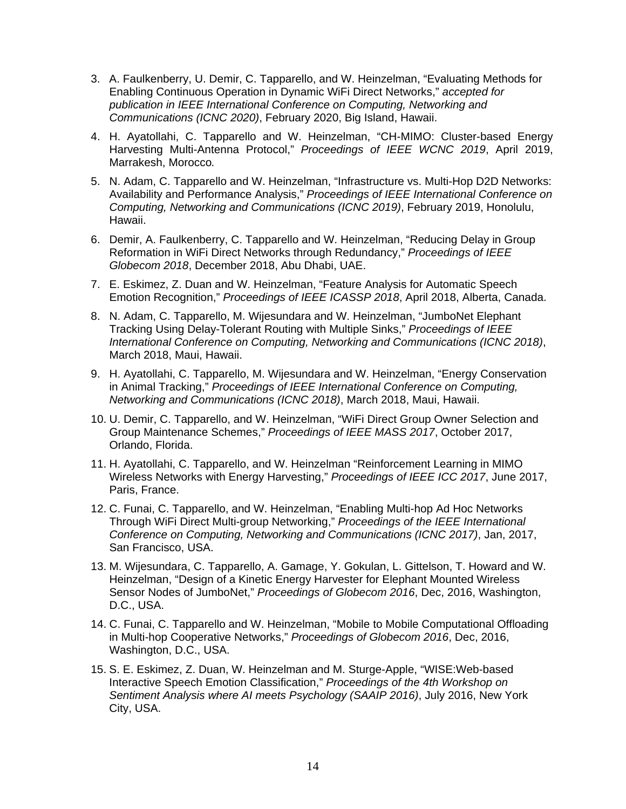- 3. A. Faulkenberry, U. Demir, C. Tapparello, and W. Heinzelman, "Evaluating Methods for Enabling Continuous Operation in Dynamic WiFi Direct Networks," *accepted for publication in IEEE International Conference on Computing, Networking and Communications (ICNC 2020)*, February 2020, Big Island, Hawaii.
- 4. H. Ayatollahi, C. Tapparello and W. Heinzelman, "CH-MIMO: Cluster-based Energy Harvesting Multi-Antenna Protocol," *Proceedings of IEEE WCNC 2019*, April 2019, Marrakesh, Morocco*.*
- 5. N. Adam, C. Tapparello and W. Heinzelman, "Infrastructure vs. Multi-Hop D2D Networks: Availability and Performance Analysis," *Proceedings of IEEE International Conference on Computing, Networking and Communications (ICNC 2019)*, February 2019, Honolulu, Hawaii.
- 6. Demir, A. Faulkenberry, C. Tapparello and W. Heinzelman, "Reducing Delay in Group Reformation in WiFi Direct Networks through Redundancy," *Proceedings of IEEE Globecom 2018*, December 2018, Abu Dhabi, UAE.
- 7. E. Eskimez, Z. Duan and W. Heinzelman, "Feature Analysis for Automatic Speech Emotion Recognition," *Proceedings of IEEE ICASSP 2018*, April 2018, Alberta, Canada.
- 8. N. Adam, C. Tapparello, M. Wijesundara and W. Heinzelman, "JumboNet Elephant Tracking Using Delay-Tolerant Routing with Multiple Sinks," *Proceedings of IEEE International Conference on Computing, Networking and Communications (ICNC 2018)*, March 2018, Maui, Hawaii.
- 9. H. Ayatollahi, C. Tapparello, M. Wijesundara and W. Heinzelman, "Energy Conservation in Animal Tracking," *Proceedings of IEEE International Conference on Computing, Networking and Communications (ICNC 2018)*, March 2018, Maui, Hawaii.
- 10. U. Demir, C. Tapparello, and W. Heinzelman, "WiFi Direct Group Owner Selection and Group Maintenance Schemes," *Proceedings of IEEE MASS 2017*, October 2017, Orlando, Florida.
- 11. H. Ayatollahi, C. Tapparello, and W. Heinzelman "Reinforcement Learning in MIMO Wireless Networks with Energy Harvesting," *Proceedings of IEEE ICC 2017*, June 2017, Paris, France.
- 12. C. Funai, C. Tapparello, and W. Heinzelman, "Enabling Multi-hop Ad Hoc Networks Through WiFi Direct Multi-group Networking," *Proceedings of the IEEE International Conference on Computing, Networking and Communications (ICNC 2017)*, Jan, 2017, San Francisco, USA.
- 13. M. Wijesundara, C. Tapparello, A. Gamage, Y. Gokulan, L. Gittelson, T. Howard and W. Heinzelman, "Design of a Kinetic Energy Harvester for Elephant Mounted Wireless Sensor Nodes of JumboNet," *Proceedings of Globecom 2016*, Dec, 2016, Washington, D.C., USA.
- 14. C. Funai, C. Tapparello and W. Heinzelman, "Mobile to Mobile Computational Offloading in Multi-hop Cooperative Networks," *Proceedings of Globecom 2016*, Dec, 2016, Washington, D.C., USA.
- 15. S. E. Eskimez, Z. Duan, W. Heinzelman and M. Sturge-Apple, "WISE:Web-based Interactive Speech Emotion Classification," *Proceedings of the 4th Workshop on Sentiment Analysis where AI meets Psychology (SAAIP 2016)*, July 2016, New York City, USA.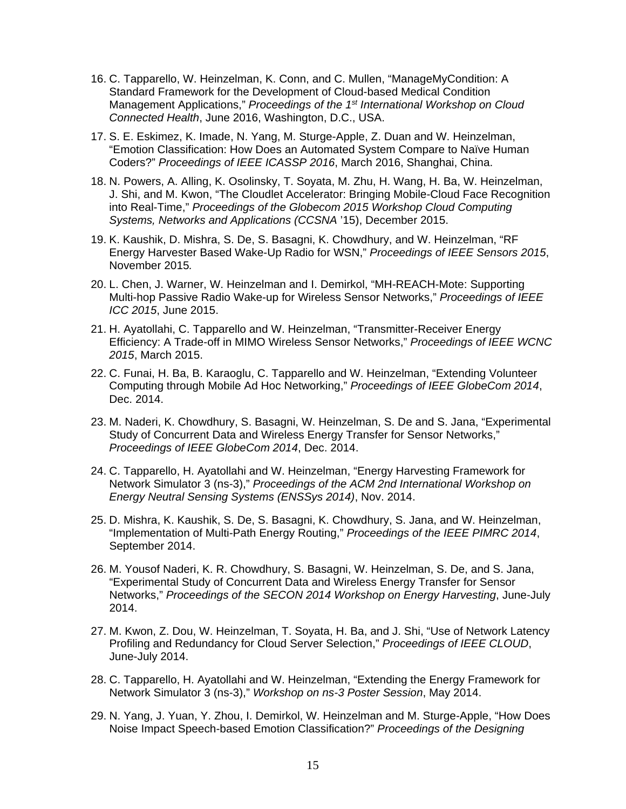- 16. C. Tapparello, W. Heinzelman, K. Conn, and C. Mullen, "ManageMyCondition: A Standard Framework for the Development of Cloud-based Medical Condition Management Applications," *Proceedings of the 1st International Workshop on Cloud Connected Health*, June 2016, Washington, D.C., USA.
- 17. S. E. Eskimez, K. Imade, N. Yang, M. Sturge-Apple, Z. Duan and W. Heinzelman, "Emotion Classification: How Does an Automated System Compare to Naïve Human Coders?" *Proceedings of IEEE ICASSP 2016*, March 2016, Shanghai, China.
- 18. N. Powers, A. Alling, K. Osolinsky, T. Soyata, M. Zhu, H. Wang, H. Ba, W. Heinzelman, J. Shi, and M. Kwon, "The Cloudlet Accelerator: Bringing Mobile-Cloud Face Recognition into Real-Time," *Proceedings of the Globecom 2015 Workshop Cloud Computing Systems, Networks and Applications (CCSNA* '15), December 2015.
- 19. K. Kaushik, D. Mishra, S. De, S. Basagni, K. Chowdhury, and W. Heinzelman, "RF Energy Harvester Based Wake-Up Radio for WSN," *Proceedings of IEEE Sensors 2015*, November 2015*.*
- 20. L. Chen, J. Warner, W. Heinzelman and I. Demirkol, "MH-REACH-Mote: Supporting Multi-hop Passive Radio Wake-up for Wireless Sensor Networks," *Proceedings of IEEE ICC 2015*, June 2015.
- 21. H. Ayatollahi, C. Tapparello and W. Heinzelman, "Transmitter-Receiver Energy Efficiency: A Trade-off in MIMO Wireless Sensor Networks," *Proceedings of IEEE WCNC 2015*, March 2015.
- 22. C. Funai, H. Ba, B. Karaoglu, C. Tapparello and W. Heinzelman, "Extending Volunteer Computing through Mobile Ad Hoc Networking," *Proceedings of IEEE GlobeCom 2014*, Dec. 2014.
- 23. M. Naderi, K. Chowdhury, S. Basagni, W. Heinzelman, S. De and S. Jana, "Experimental Study of Concurrent Data and Wireless Energy Transfer for Sensor Networks," *Proceedings of IEEE GlobeCom 2014*, Dec. 2014.
- 24. C. Tapparello, H. Ayatollahi and W. Heinzelman, "Energy Harvesting Framework for Network Simulator 3 (ns-3)," *Proceedings of the ACM 2nd International Workshop on Energy Neutral Sensing Systems (ENSSys 2014)*, Nov. 2014.
- 25. D. Mishra, K. Kaushik, S. De, S. Basagni, K. Chowdhury, S. Jana, and W. Heinzelman, "Implementation of Multi-Path Energy Routing," *Proceedings of the IEEE PIMRC 2014*, September 2014.
- 26. M. Yousof Naderi, K. R. Chowdhury, S. Basagni, W. Heinzelman, S. De, and S. Jana, "Experimental Study of Concurrent Data and Wireless Energy Transfer for Sensor Networks," *Proceedings of the SECON 2014 Workshop on Energy Harvesting*, June-July 2014.
- 27. M. Kwon, Z. Dou, W. Heinzelman, T. Soyata, H. Ba, and J. Shi, "Use of Network Latency Profiling and Redundancy for Cloud Server Selection," *Proceedings of IEEE CLOUD*, June-July 2014.
- 28. C. Tapparello, H. Ayatollahi and W. Heinzelman, "Extending the Energy Framework for Network Simulator 3 (ns-3)," *Workshop on ns-3 Poster Session*, May 2014.
- 29. N. Yang, J. Yuan, Y. Zhou, I. Demirkol, W. Heinzelman and M. Sturge-Apple, "How Does Noise Impact Speech-based Emotion Classification?" *Proceedings of the Designing*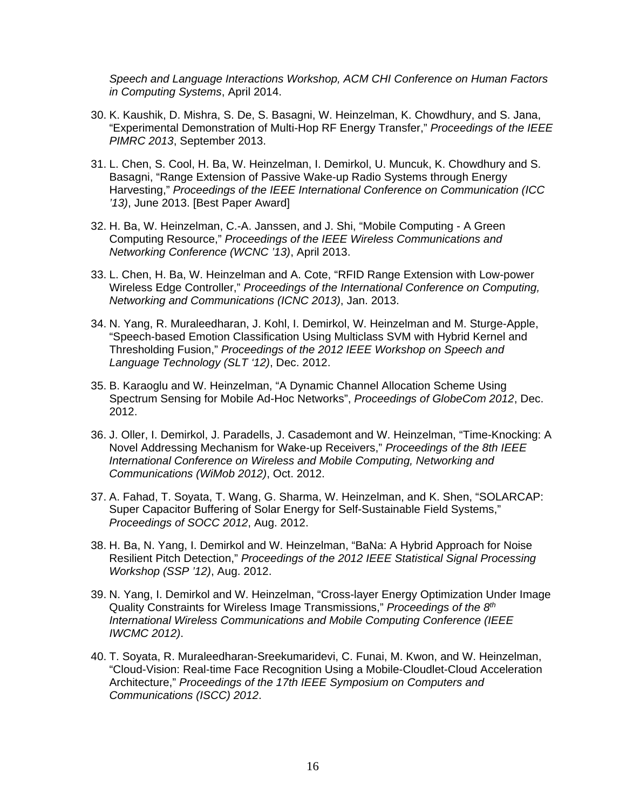*Speech and Language Interactions Workshop, ACM CHI Conference on Human Factors in Computing Systems*, April 2014.

- 30. K. Kaushik, D. Mishra, S. De, S. Basagni, W. Heinzelman, K. Chowdhury, and S. Jana, "Experimental Demonstration of Multi-Hop RF Energy Transfer," *Proceedings of the IEEE PIMRC 2013*, September 2013.
- 31. L. Chen, S. Cool, H. Ba, W. Heinzelman, I. Demirkol, U. Muncuk, K. Chowdhury and S. Basagni, "Range Extension of Passive Wake-up Radio Systems through Energy Harvesting," *Proceedings of the IEEE International Conference on Communication (ICC '13)*, June 2013. [Best Paper Award]
- 32. H. Ba, W. Heinzelman, C.-A. Janssen, and J. Shi, "Mobile Computing A Green Computing Resource," *Proceedings of the IEEE Wireless Communications and Networking Conference (WCNC '13)*, April 2013.
- 33. L. Chen, H. Ba, W. Heinzelman and A. Cote, "RFID Range Extension with Low-power Wireless Edge Controller," *Proceedings of the International Conference on Computing, Networking and Communications (ICNC 2013)*, Jan. 2013.
- 34. N. Yang, R. Muraleedharan, J. Kohl, I. Demirkol, W. Heinzelman and M. Sturge-Apple, "Speech-based Emotion Classification Using Multiclass SVM with Hybrid Kernel and Thresholding Fusion," *Proceedings of the 2012 IEEE Workshop on Speech and Language Technology (SLT '12)*, Dec. 2012.
- 35. B. Karaoglu and W. Heinzelman, "A Dynamic Channel Allocation Scheme Using Spectrum Sensing for Mobile Ad-Hoc Networks", *Proceedings of GlobeCom 2012*, Dec. 2012.
- 36. J. Oller, I. Demirkol, J. Paradells, J. Casademont and W. Heinzelman, "Time-Knocking: A Novel Addressing Mechanism for Wake-up Receivers," *Proceedings of the 8th IEEE International Conference on Wireless and Mobile Computing, Networking and Communications (WiMob 2012)*, Oct. 2012.
- 37. A. Fahad, T. Soyata, T. Wang, G. Sharma, W. Heinzelman, and K. Shen, "SOLARCAP: Super Capacitor Buffering of Solar Energy for Self-Sustainable Field Systems," *Proceedings of SOCC 2012*, Aug. 2012.
- 38. H. Ba, N. Yang, I. Demirkol and W. Heinzelman, "BaNa: A Hybrid Approach for Noise Resilient Pitch Detection," *Proceedings of the 2012 IEEE Statistical Signal Processing Workshop (SSP '12)*, Aug. 2012.
- 39. N. Yang, I. Demirkol and W. Heinzelman, "Cross-layer Energy Optimization Under Image Quality Constraints for Wireless Image Transmissions," *Proceedings of the 8th International Wireless Communications and Mobile Computing Conference (IEEE IWCMC 2012)*.
- 40. T. Soyata, R. Muraleedharan-Sreekumaridevi, C. Funai, M. Kwon, and W. Heinzelman, "Cloud-Vision: Real-time Face Recognition Using a Mobile-Cloudlet-Cloud Acceleration Architecture," *Proceedings of the 17th IEEE Symposium on Computers and Communications (ISCC) 2012*.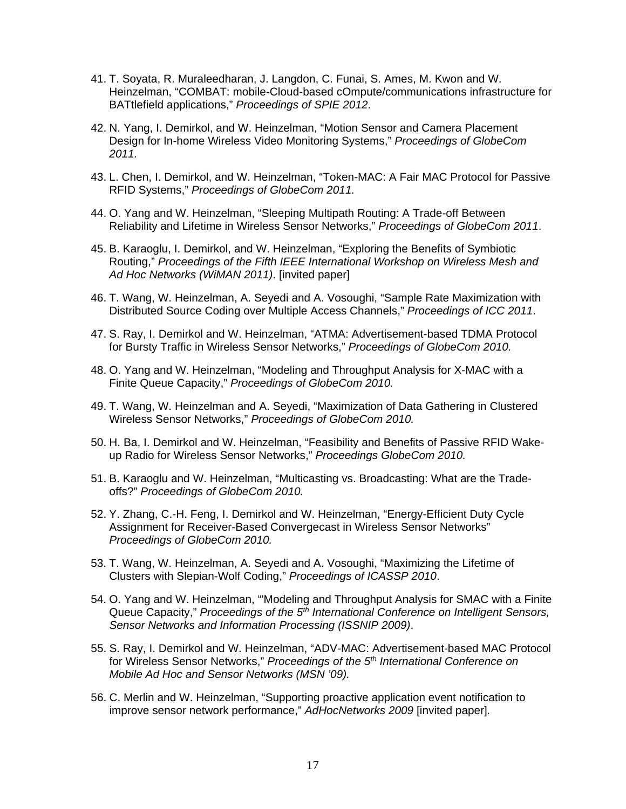- 41. T. Soyata, R. Muraleedharan, J. Langdon, C. Funai, S. Ames, M. Kwon and W. Heinzelman, "COMBAT: mobile-Cloud-based cOmpute/communications infrastructure for BATtlefield applications," *Proceedings of SPIE 2012*.
- 42. N. Yang, I. Demirkol, and W. Heinzelman, "Motion Sensor and Camera Placement Design for In-home Wireless Video Monitoring Systems," *Proceedings of GlobeCom 2011.*
- 43. L. Chen, I. Demirkol, and W. Heinzelman, "Token-MAC: A Fair MAC Protocol for Passive RFID Systems," *Proceedings of GlobeCom 2011.*
- 44. O. Yang and W. Heinzelman, "Sleeping Multipath Routing: A Trade-off Between Reliability and Lifetime in Wireless Sensor Networks," *Proceedings of GlobeCom 2011*.
- 45. B. Karaoglu, I. Demirkol, and W. Heinzelman, "Exploring the Benefits of Symbiotic Routing," *Proceedings of the Fifth IEEE International Workshop on Wireless Mesh and Ad Hoc Networks (WiMAN 2011)*. [invited paper]
- 46. T. Wang, W. Heinzelman, A. Seyedi and A. Vosoughi, "Sample Rate Maximization with Distributed Source Coding over Multiple Access Channels," *Proceedings of ICC 2011*.
- 47. S. Ray, I. Demirkol and W. Heinzelman, "ATMA: Advertisement-based TDMA Protocol for Bursty Traffic in Wireless Sensor Networks," *Proceedings of GlobeCom 2010.*
- 48. O. Yang and W. Heinzelman, "Modeling and Throughput Analysis for X-MAC with a Finite Queue Capacity," *Proceedings of GlobeCom 2010.*
- 49. T. Wang, W. Heinzelman and A. Seyedi, "Maximization of Data Gathering in Clustered Wireless Sensor Networks," *Proceedings of GlobeCom 2010.*
- 50. H. Ba, I. Demirkol and W. Heinzelman, "Feasibility and Benefits of Passive RFID Wakeup Radio for Wireless Sensor Networks," *Proceedings GlobeCom 2010.*
- 51. B. Karaoglu and W. Heinzelman, "Multicasting vs. Broadcasting: What are the Tradeoffs?" *Proceedings of GlobeCom 2010.*
- 52. Y. Zhang, C.-H. Feng, I. Demirkol and W. Heinzelman, "Energy-Efficient Duty Cycle Assignment for Receiver-Based Convergecast in Wireless Sensor Networks" *Proceedings of GlobeCom 2010.*
- 53. T. Wang, W. Heinzelman, A. Seyedi and A. Vosoughi, "Maximizing the Lifetime of Clusters with Slepian-Wolf Coding," *Proceedings of ICASSP 2010*.
- 54. O. Yang and W. Heinzelman, "'Modeling and Throughput Analysis for SMAC with a Finite Queue Capacity," *Proceedings of the 5th International Conference on Intelligent Sensors, Sensor Networks and Information Processing (ISSNIP 2009)*.
- 55. S. Ray, I. Demirkol and W. Heinzelman, "ADV-MAC: Advertisement-based MAC Protocol for Wireless Sensor Networks," *Proceedings of the 5th International Conference on Mobile Ad Hoc and Sensor Networks (MSN '09).*
- 56. C. Merlin and W. Heinzelman, "Supporting proactive application event notification to improve sensor network performance," *AdHocNetworks 2009* [invited paper]*.*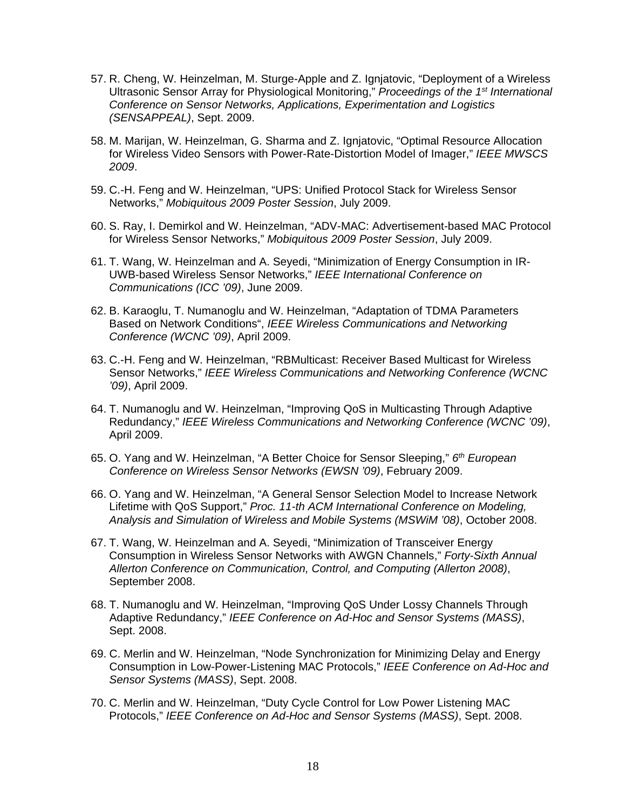- 57. R. Cheng, W. Heinzelman, M. Sturge-Apple and Z. Ignjatovic, "Deployment of a Wireless Ultrasonic Sensor Array for Physiological Monitoring," *Proceedings of the 1st International Conference on Sensor Networks, Applications, Experimentation and Logistics (SENSAPPEAL)*, Sept. 2009.
- 58. M. Marijan, W. Heinzelman, G. Sharma and Z. Ignjatovic, "Optimal Resource Allocation for Wireless Video Sensors with Power-Rate-Distortion Model of Imager," *IEEE MWSCS 2009*.
- 59. C.-H. Feng and W. Heinzelman, "UPS: Unified Protocol Stack for Wireless Sensor Networks," *Mobiquitous 2009 Poster Session*, July 2009.
- 60. S. Ray, I. Demirkol and W. Heinzelman, "ADV-MAC: Advertisement-based MAC Protocol for Wireless Sensor Networks," *Mobiquitous 2009 Poster Session*, July 2009.
- 61. T. Wang, W. Heinzelman and A. Seyedi, "Minimization of Energy Consumption in IR-UWB-based Wireless Sensor Networks," *IEEE International Conference on Communications (ICC '09)*, June 2009.
- 62. B. Karaoglu, T. Numanoglu and W. Heinzelman, "Adaptation of TDMA Parameters Based on Network Conditions", *IEEE Wireless Communications and Networking Conference (WCNC '09)*, April 2009.
- 63. C.-H. Feng and W. Heinzelman, "RBMulticast: Receiver Based Multicast for Wireless Sensor Networks," *IEEE Wireless Communications and Networking Conference (WCNC '09)*, April 2009.
- 64. T. Numanoglu and W. Heinzelman, "Improving QoS in Multicasting Through Adaptive Redundancy," *IEEE Wireless Communications and Networking Conference (WCNC '09)*, April 2009.
- 65. O. Yang and W. Heinzelman, "A Better Choice for Sensor Sleeping," *6th European Conference on Wireless Sensor Networks (EWSN '09)*, February 2009.
- 66. O. Yang and W. Heinzelman, "A General Sensor Selection Model to Increase Network Lifetime with QoS Support," *Proc. 11-th ACM International Conference on Modeling, Analysis and Simulation of Wireless and Mobile Systems (MSWiM '08)*, October 2008.
- 67. T. Wang, W. Heinzelman and A. Seyedi, "Minimization of Transceiver Energy Consumption in Wireless Sensor Networks with AWGN Channels," *Forty-Sixth Annual Allerton Conference on Communication, Control, and Computing (Allerton 2008)*, September 2008.
- 68. T. Numanoglu and W. Heinzelman, "Improving QoS Under Lossy Channels Through Adaptive Redundancy," *IEEE Conference on Ad-Hoc and Sensor Systems (MASS)*, Sept. 2008.
- 69. C. Merlin and W. Heinzelman, "Node Synchronization for Minimizing Delay and Energy Consumption in Low-Power-Listening MAC Protocols," *IEEE Conference on Ad-Hoc and Sensor Systems (MASS)*, Sept. 2008.
- 70. C. Merlin and W. Heinzelman, "Duty Cycle Control for Low Power Listening MAC Protocols," *IEEE Conference on Ad-Hoc and Sensor Systems (MASS)*, Sept. 2008.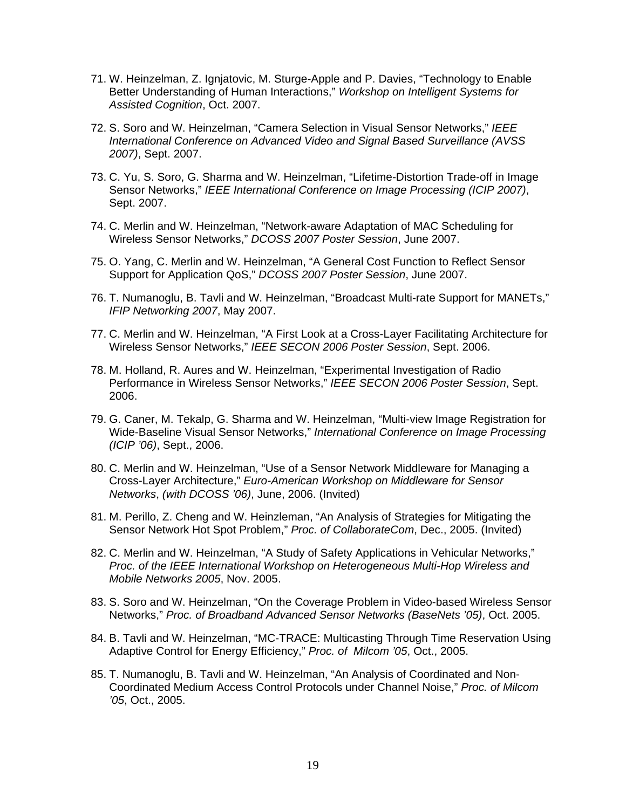- 71. W. Heinzelman, Z. Ignjatovic, M. Sturge-Apple and P. Davies, "Technology to Enable Better Understanding of Human Interactions," *Workshop on Intelligent Systems for Assisted Cognition*, Oct. 2007.
- 72. S. Soro and W. Heinzelman, "Camera Selection in Visual Sensor Networks," *IEEE International Conference on Advanced Video and Signal Based Surveillance (AVSS 2007)*, Sept. 2007.
- 73. C. Yu, S. Soro, G. Sharma and W. Heinzelman, "Lifetime-Distortion Trade-off in Image Sensor Networks," *IEEE International Conference on Image Processing (ICIP 2007)*, Sept. 2007.
- 74. C. Merlin and W. Heinzelman, "Network-aware Adaptation of MAC Scheduling for Wireless Sensor Networks," *DCOSS 2007 Poster Session*, June 2007.
- 75. O. Yang, C. Merlin and W. Heinzelman, "A General Cost Function to Reflect Sensor Support for Application QoS," *DCOSS 2007 Poster Session*, June 2007.
- 76. T. Numanoglu, B. Tavli and W. Heinzelman, "Broadcast Multi-rate Support for MANETs," *IFIP Networking 2007*, May 2007.
- 77. C. Merlin and W. Heinzelman, "A First Look at a Cross-Layer Facilitating Architecture for Wireless Sensor Networks," *IEEE SECON 2006 Poster Session*, Sept. 2006.
- 78. M. Holland, R. Aures and W. Heinzelman, "Experimental Investigation of Radio Performance in Wireless Sensor Networks," *IEEE SECON 2006 Poster Session*, Sept. 2006.
- 79. G. Caner, M. Tekalp, G. Sharma and W. Heinzelman, "Multi-view Image Registration for Wide-Baseline Visual Sensor Networks," *International Conference on Image Processing (ICIP '06)*, Sept., 2006.
- 80. C. Merlin and W. Heinzelman, "Use of a Sensor Network Middleware for Managing a Cross-Layer Architecture," *Euro-American Workshop on Middleware for Sensor Networks*, *(with DCOSS '06)*, June, 2006. (Invited)
- 81. M. Perillo, Z. Cheng and W. Heinzleman, "An Analysis of Strategies for Mitigating the Sensor Network Hot Spot Problem," *Proc. of CollaborateCom*, Dec., 2005. (Invited)
- 82. C. Merlin and W. Heinzelman, "A Study of Safety Applications in Vehicular Networks," *Proc. of the IEEE International Workshop on Heterogeneous Multi-Hop Wireless and Mobile Networks 2005*, Nov. 2005.
- 83. S. Soro and W. Heinzelman, "On the Coverage Problem in Video-based Wireless Sensor Networks," *Proc. of Broadband Advanced Sensor Networks (BaseNets '05)*, Oct. 2005.
- 84. B. Tavli and W. Heinzelman, "MC-TRACE: Multicasting Through Time Reservation Using Adaptive Control for Energy Efficiency," *Proc. of Milcom '05*, Oct., 2005.
- 85. T. Numanoglu, B. Tavli and W. Heinzelman, "An Analysis of Coordinated and Non-Coordinated Medium Access Control Protocols under Channel Noise," *Proc. of Milcom '05*, Oct., 2005.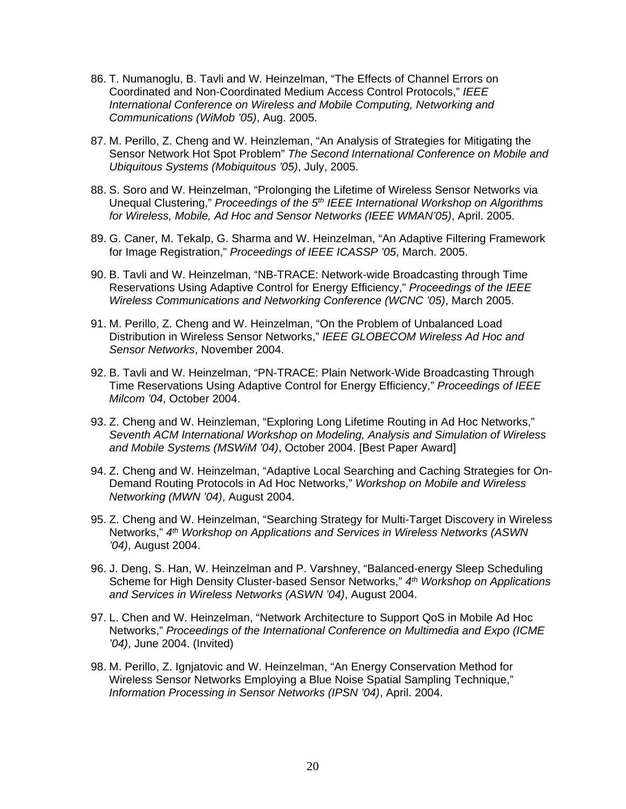- 86. T. Numanoglu, B. Tavli and W. Heinzelman, "The Effects of Channel Errors on Coordinated and Non-Coordinated Medium Access Control Protocols," *IEEE International Conference on Wireless and Mobile Computing, Networking and Communications (WiMob '05)*, Aug. 2005.
- 87. M. Perillo, Z. Cheng and W. Heinzleman, "An Analysis of Strategies for Mitigating the Sensor Network Hot Spot Problem" *The Second International Conference on Mobile and Ubiquitous Systems (Mobiquitous '05)*, July, 2005.
- 88. S. Soro and W. Heinzelman, "Prolonging the Lifetime of Wireless Sensor Networks via Unequal Clustering," *Proceedings of the 5th IEEE International Workshop on Algorithms for Wireless, Mobile, Ad Hoc and Sensor Networks (IEEE WMAN'05)*, April. 2005.
- 89. G. Caner, M. Tekalp, G. Sharma and W. Heinzelman, "An Adaptive Filtering Framework for Image Registration," *Proceedings of IEEE ICASSP '05*, March. 2005.
- 90. B. Tavli and W. Heinzelman, "NB-TRACE: Network-wide Broadcasting through Time Reservations Using Adaptive Control for Energy Efficiency," *Proceedings of the IEEE Wireless Communications and Networking Conference (WCNC '05)*, March 2005.
- 91. M. Perillo, Z. Cheng and W. Heinzelman, "On the Problem of Unbalanced Load Distribution in Wireless Sensor Networks," *IEEE GLOBECOM Wireless Ad Hoc and Sensor Networks*, November 2004.
- 92. B. Tavli and W. Heinzelman, "PN-TRACE: Plain Network-Wide Broadcasting Through Time Reservations Using Adaptive Control for Energy Efficiency," *Proceedings of IEEE Milcom '04*, October 2004.
- 93. Z. Cheng and W. Heinzleman, "Exploring Long Lifetime Routing in Ad Hoc Networks," *Seventh ACM International Workshop on Modeling, Analysis and Simulation of Wireless and Mobile Systems (MSWiM '04)*, October 2004. [Best Paper Award]
- 94. Z. Cheng and W. Heinzelman, "Adaptive Local Searching and Caching Strategies for On-Demand Routing Protocols in Ad Hoc Networks," *Workshop on Mobile and Wireless Networking (MWN '04)*, August 2004.
- 95. Z. Cheng and W. Heinzelman, "Searching Strategy for Multi-Target Discovery in Wireless Networks," *4th Workshop on Applications and Services in Wireless Networks (ASWN '04)*, August 2004.
- 96. J. Deng, S. Han, W. Heinzelman and P. Varshney, "Balanced-energy Sleep Scheduling Scheme for High Density Cluster-based Sensor Networks," *4th Workshop on Applications and Services in Wireless Networks (ASWN '04)*, August 2004.
- 97. L. Chen and W. Heinzelman, "Network Architecture to Support QoS in Mobile Ad Hoc Networks," *Proceedings of the International Conference on Multimedia and Expo (ICME '04)*, June 2004. (Invited)
- 98. M. Perillo, Z. Ignjatovic and W. Heinzelman, "An Energy Conservation Method for Wireless Sensor Networks Employing a Blue Noise Spatial Sampling Technique," *Information Processing in Sensor Networks (IPSN '04)*, April. 2004.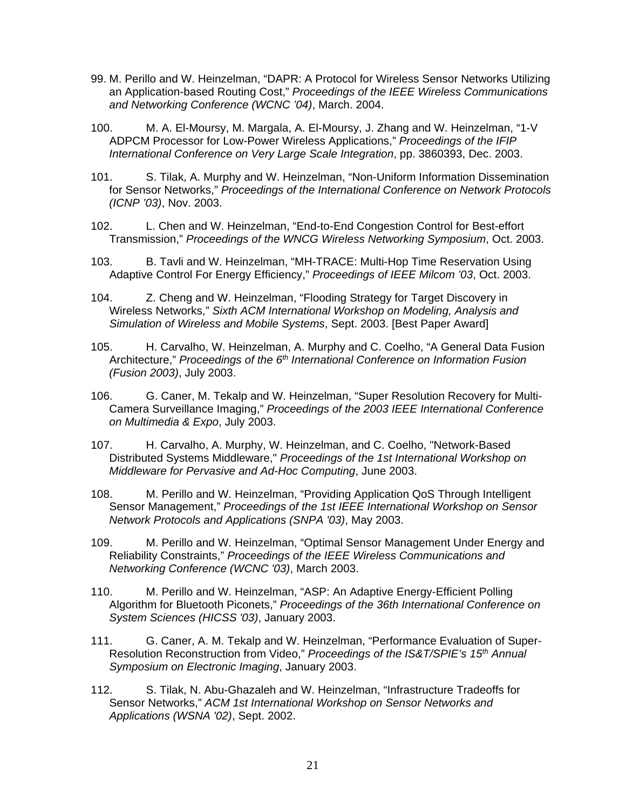- 99. M. Perillo and W. Heinzelman, "DAPR: A Protocol for Wireless Sensor Networks Utilizing an Application-based Routing Cost," *Proceedings of the IEEE Wireless Communications and Networking Conference (WCNC '04)*, March. 2004.
- 100. M. A. El-Moursy, M. Margala, A. El-Moursy, J. Zhang and W. Heinzelman, "1-V ADPCM Processor for Low-Power Wireless Applications," *Proceedings of the IFIP International Conference on Very Large Scale Integration*, pp. 3860393, Dec. 2003.
- 101. S. Tilak, A. Murphy and W. Heinzelman, "Non-Uniform Information Dissemination for Sensor Networks," *Proceedings of the International Conference on Network Protocols (ICNP '03)*, Nov. 2003.
- 102. L. Chen and W. Heinzelman, "End-to-End Congestion Control for Best-effort Transmission," *Proceedings of the WNCG Wireless Networking Symposium*, Oct. 2003.
- 103. B. Tavli and W. Heinzelman, "MH-TRACE: Multi-Hop Time Reservation Using Adaptive Control For Energy Efficiency," *Proceedings of IEEE Milcom '03*, Oct. 2003.
- 104. Z. Cheng and W. Heinzelman, "Flooding Strategy for Target Discovery in Wireless Networks," *Sixth ACM International Workshop on Modeling, Analysis and Simulation of Wireless and Mobile Systems*, Sept. 2003. [Best Paper Award]
- 105. H. Carvalho, W. Heinzelman, A. Murphy and C. Coelho, "A General Data Fusion Architecture," *Proceedings of the 6th International Conference on Information Fusion (Fusion 2003)*, July 2003.
- 106. G. Caner, M. Tekalp and W. Heinzelman, "Super Resolution Recovery for Multi-Camera Surveillance Imaging," *Proceedings of the 2003 IEEE International Conference on Multimedia & Expo*, July 2003.
- 107. H. Carvalho, A. Murphy, W. Heinzelman, and C. Coelho, "Network-Based Distributed Systems Middleware," *Proceedings of the 1st International Workshop on Middleware for Pervasive and Ad-Hoc Computing*, June 2003.
- 108. M. Perillo and W. Heinzelman, "Providing Application QoS Through Intelligent Sensor Management," *Proceedings of the 1st IEEE International Workshop on Sensor Network Protocols and Applications (SNPA '03)*, May 2003.
- 109. M. Perillo and W. Heinzelman, "Optimal Sensor Management Under Energy and Reliability Constraints," *Proceedings of the IEEE Wireless Communications and Networking Conference (WCNC '03)*, March 2003.
- 110. M. Perillo and W. Heinzelman, "ASP: An Adaptive Energy-Efficient Polling Algorithm for Bluetooth Piconets," *Proceedings of the 36th International Conference on System Sciences (HICSS '03)*, January 2003.
- 111. G. Caner, A. M. Tekalp and W. Heinzelman, "Performance Evaluation of Super-Resolution Reconstruction from Video," *Proceedings of the IS&T/SPIE's 15th Annual Symposium on Electronic Imaging*, January 2003.
- 112. S. Tilak, N. Abu-Ghazaleh and W. Heinzelman, "Infrastructure Tradeoffs for Sensor Networks," *ACM 1st International Workshop on Sensor Networks and Applications (WSNA '02)*, Sept. 2002.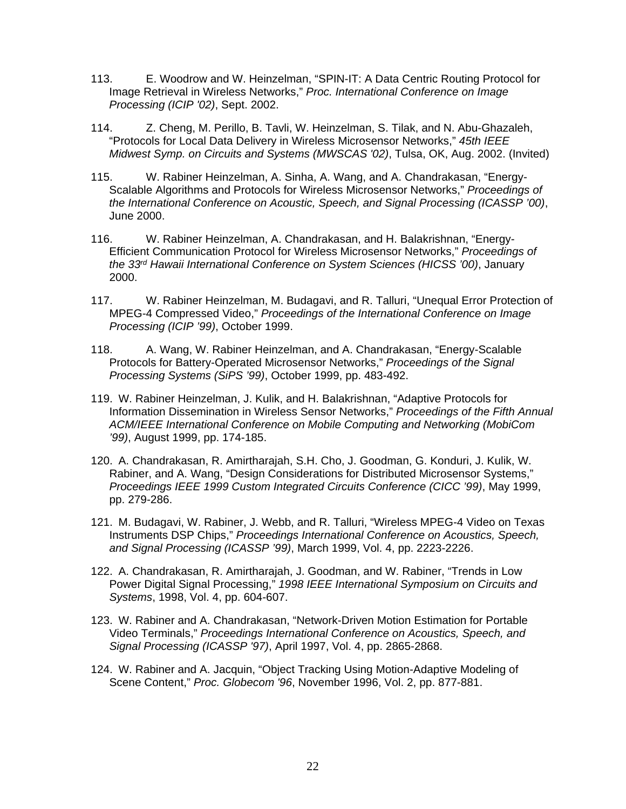- 113. E. Woodrow and W. Heinzelman, "SPIN-IT: A Data Centric Routing Protocol for Image Retrieval in Wireless Networks," *Proc. International Conference on Image Processing (ICIP '02)*, Sept. 2002.
- 114. Z. Cheng, M. Perillo, B. Tavli, W. Heinzelman, S. Tilak, and N. Abu-Ghazaleh, "Protocols for Local Data Delivery in Wireless Microsensor Networks," *45th IEEE Midwest Symp. on Circuits and Systems (MWSCAS '02)*, Tulsa, OK, Aug. 2002. (Invited)
- 115. W. Rabiner Heinzelman, A. Sinha, A. Wang, and A. Chandrakasan, "Energy-Scalable Algorithms and Protocols for Wireless Microsensor Networks," *Proceedings of the International Conference on Acoustic, Speech, and Signal Processing (ICASSP '00)*, June 2000.
- 116. W. Rabiner Heinzelman, A. Chandrakasan, and H. Balakrishnan, "Energy-Efficient Communication Protocol for Wireless Microsensor Networks," *Proceedings of the 33rd Hawaii International Conference on System Sciences (HICSS '00)*, January 2000.
- 117. W. Rabiner Heinzelman, M. Budagavi, and R. Talluri, "Unequal Error Protection of MPEG-4 Compressed Video," *Proceedings of the International Conference on Image Processing (ICIP '99)*, October 1999.
- 118. A. Wang, W. Rabiner Heinzelman, and A. Chandrakasan, "Energy-Scalable Protocols for Battery-Operated Microsensor Networks," *Proceedings of the Signal Processing Systems (SiPS '99)*, October 1999, pp. 483-492.
- 119. W. Rabiner Heinzelman, J. Kulik, and H. Balakrishnan, "Adaptive Protocols for Information Dissemination in Wireless Sensor Networks," *Proceedings of the Fifth Annual ACM/IEEE International Conference on Mobile Computing and Networking (MobiCom '99)*, August 1999, pp. 174-185.
- 120. A. Chandrakasan, R. Amirtharajah, S.H. Cho, J. Goodman, G. Konduri, J. Kulik, W. Rabiner, and A. Wang, "Design Considerations for Distributed Microsensor Systems," *Proceedings IEEE 1999 Custom Integrated Circuits Conference (CICC '99)*, May 1999, pp. 279-286.
- 121. M. Budagavi, W. Rabiner, J. Webb, and R. Talluri, "Wireless MPEG-4 Video on Texas Instruments DSP Chips," *Proceedings International Conference on Acoustics, Speech, and Signal Processing (ICASSP '99)*, March 1999, Vol. 4, pp. 2223-2226.
- 122. A. Chandrakasan, R. Amirtharajah, J. Goodman, and W. Rabiner, "Trends in Low Power Digital Signal Processing," *1998 IEEE International Symposium on Circuits and Systems*, 1998, Vol. 4, pp. 604-607.
- 123. W. Rabiner and A. Chandrakasan, "Network-Driven Motion Estimation for Portable Video Terminals," *Proceedings International Conference on Acoustics, Speech, and Signal Processing (ICASSP '97)*, April 1997, Vol. 4, pp. 2865-2868.
- 124. W. Rabiner and A. Jacquin, "Object Tracking Using Motion-Adaptive Modeling of Scene Content," *Proc. Globecom '96*, November 1996, Vol. 2, pp. 877-881.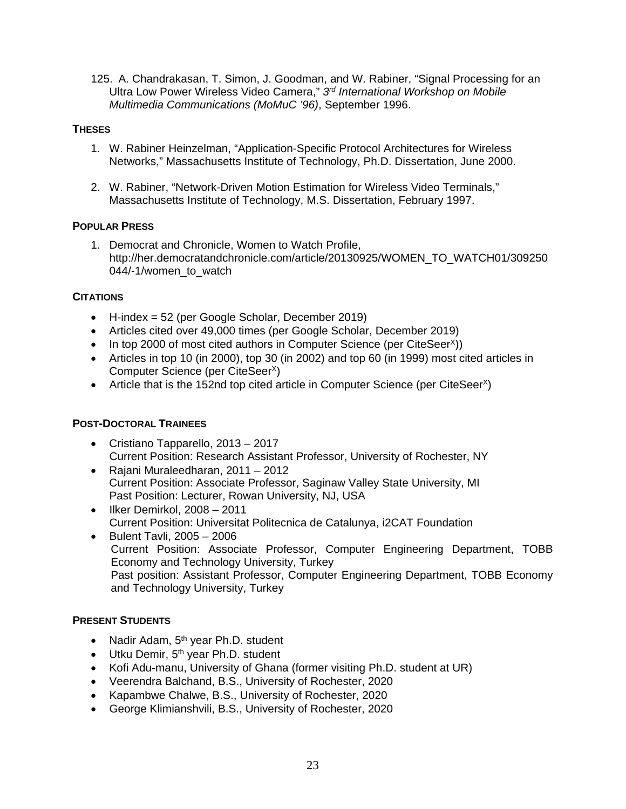125. A. Chandrakasan, T. Simon, J. Goodman, and W. Rabiner, "Signal Processing for an Ultra Low Power Wireless Video Camera," *3rd International Workshop on Mobile Multimedia Communications (MoMuC '96)*, September 1996.

# **THESES**

- 1. W. Rabiner Heinzelman, "Application-Specific Protocol Architectures for Wireless Networks," Massachusetts Institute of Technology, Ph.D. Dissertation, June 2000.
- 2. W. Rabiner, "Network-Driven Motion Estimation for Wireless Video Terminals," Massachusetts Institute of Technology, M.S. Dissertation, February 1997.

# **POPULAR PRESS**

1. Democrat and Chronicle, Women to Watch Profile, http://her.democratandchronicle.com/article/20130925/WOMEN\_TO\_WATCH01/309250 044/-1/women\_to\_watch

# **CITATIONS**

- H-index = 52 (per Google Scholar, December 2019)
- Articles cited over 49,000 times (per Google Scholar, December 2019)
- In top 2000 of most cited authors in Computer Science (per CiteSeer<sup>X</sup>))
- Articles in top 10 (in 2000), top 30 (in 2002) and top 60 (in 1999) most cited articles in Computer Science (per CiteSeer<sup>x</sup>)
- Article that is the 152nd top cited article in Computer Science (per CiteSeer<sup> $X$ </sup>)

# **POST-DOCTORAL TRAINEES**

- Cristiano Tapparello, 2013 2017 Current Position: Research Assistant Professor, University of Rochester, NY
- Rajani Muraleedharan, 2011 2012 Current Position: Associate Professor, Saginaw Valley State University, MI Past Position: Lecturer, Rowan University, NJ, USA
- Ilker Demirkol, 2008 2011 Current Position: Universitat Politecnica de Catalunya, i2CAT Foundation
- Bulent Tavli, 2005 2006 Current Position: Associate Professor, Computer Engineering Department, TOBB Economy and Technology University, Turkey Past position: Assistant Professor, Computer Engineering Department, TOBB Economy and Technology University, Turkey

## **PRESENT STUDENTS**

- Nadir Adam,  $5<sup>th</sup>$  year Ph.D. student
- Utku Demir, 5<sup>th</sup> year Ph.D. student
- Kofi Adu-manu, University of Ghana (former visiting Ph.D. student at UR)
- Veerendra Balchand, B.S., University of Rochester, 2020
- Kapambwe Chalwe, B.S., University of Rochester, 2020
- George Klimianshvili, B.S., University of Rochester, 2020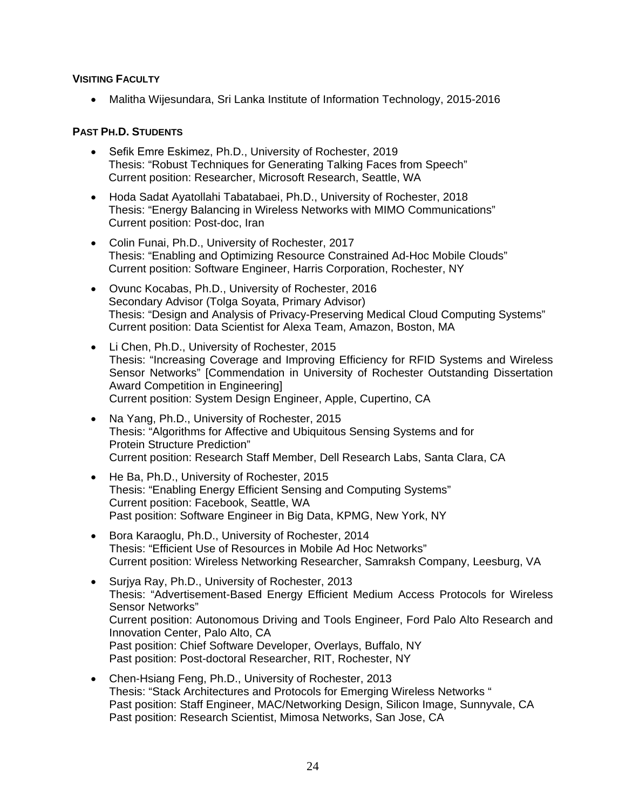## **VISITING FACULTY**

• Malitha Wijesundara, Sri Lanka Institute of Information Technology, 2015-2016

## **PAST PH.D. STUDENTS**

- Sefik Emre Eskimez, Ph.D., University of Rochester, 2019 Thesis: "Robust Techniques for Generating Talking Faces from Speech" Current position: Researcher, Microsoft Research, Seattle, WA
- Hoda Sadat Ayatollahi Tabatabaei, Ph.D., University of Rochester, 2018 Thesis: "Energy Balancing in Wireless Networks with MIMO Communications" Current position: Post-doc, Iran
- Colin Funai, Ph.D., University of Rochester, 2017 Thesis: "Enabling and Optimizing Resource Constrained Ad-Hoc Mobile Clouds" Current position: Software Engineer, Harris Corporation, Rochester, NY
- Ovunc Kocabas, Ph.D., University of Rochester, 2016 Secondary Advisor (Tolga Soyata, Primary Advisor) Thesis: "Design and Analysis of Privacy-Preserving Medical Cloud Computing Systems" Current position: Data Scientist for Alexa Team, Amazon, Boston, MA
- Li Chen, Ph.D., University of Rochester, 2015 Thesis: "Increasing Coverage and Improving Efficiency for RFID Systems and Wireless Sensor Networks" [Commendation in University of Rochester Outstanding Dissertation Award Competition in Engineering] Current position: System Design Engineer, Apple, Cupertino, CA
- Na Yang, Ph.D., University of Rochester, 2015 Thesis: "Algorithms for Affective and Ubiquitous Sensing Systems and for Protein Structure Prediction" Current position: Research Staff Member, Dell Research Labs, Santa Clara, CA
- He Ba, Ph.D., University of Rochester, 2015 Thesis: "Enabling Energy Efficient Sensing and Computing Systems" Current position: Facebook, Seattle, WA Past position: Software Engineer in Big Data, KPMG, New York, NY
- Bora Karaoglu, Ph.D., University of Rochester, 2014 Thesis: "Efficient Use of Resources in Mobile Ad Hoc Networks" Current position: Wireless Networking Researcher, Samraksh Company, Leesburg, VA
- Surjya Ray, Ph.D., University of Rochester, 2013 Thesis: "Advertisement-Based Energy Efficient Medium Access Protocols for Wireless Sensor Networks" Current position: Autonomous Driving and Tools Engineer, Ford Palo Alto Research and Innovation Center, Palo Alto, CA Past position: Chief Software Developer, Overlays, Buffalo, NY Past position: Post-doctoral Researcher, RIT, Rochester, NY
- Chen-Hsiang Feng, Ph.D., University of Rochester, 2013 Thesis: "Stack Architectures and Protocols for Emerging Wireless Networks " Past position: Staff Engineer, MAC/Networking Design, Silicon Image, Sunnyvale, CA Past position: Research Scientist, Mimosa Networks, San Jose, CA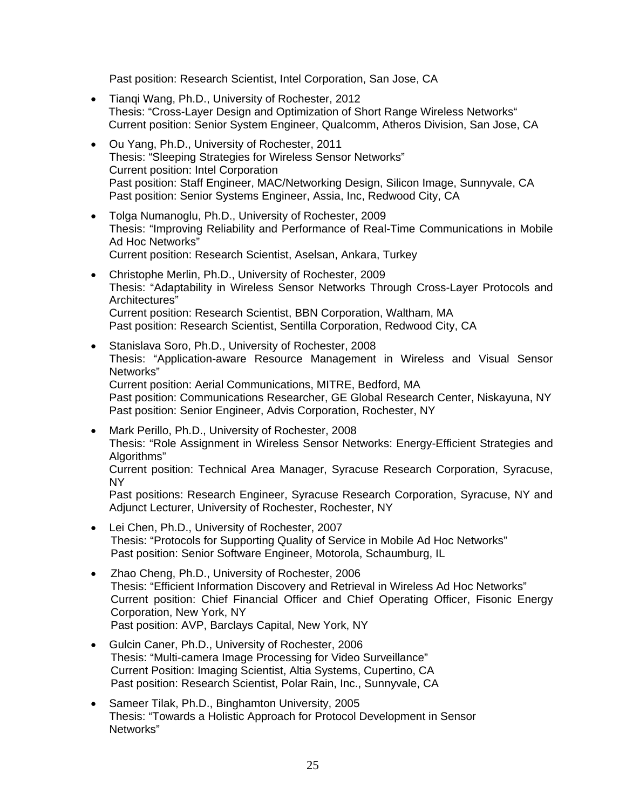Past position: Research Scientist, Intel Corporation, San Jose, CA

- Tianqi Wang, Ph.D., University of Rochester, 2012 Thesis: "Cross-Layer Design and Optimization of Short Range Wireless Networks" Current position: Senior System Engineer, Qualcomm, Atheros Division, San Jose, CA
- Ou Yang, Ph.D., University of Rochester, 2011 Thesis: "Sleeping Strategies for Wireless Sensor Networks" Current position: Intel Corporation Past position: Staff Engineer, MAC/Networking Design, Silicon Image, Sunnyvale, CA Past position: Senior Systems Engineer, Assia, Inc, Redwood City, CA
- Tolga Numanoglu, Ph.D., University of Rochester, 2009 Thesis: "Improving Reliability and Performance of Real-Time Communications in Mobile Ad Hoc Networks" Current position: Research Scientist, Aselsan, Ankara, Turkey
- Christophe Merlin, Ph.D., University of Rochester, 2009 Thesis: "Adaptability in Wireless Sensor Networks Through Cross-Layer Protocols and Architectures" Current position: Research Scientist, BBN Corporation, Waltham, MA Past position: Research Scientist, Sentilla Corporation, Redwood City, CA
- Stanislava Soro, Ph.D., University of Rochester, 2008 Thesis: "Application-aware Resource Management in Wireless and Visual Sensor Networks" Current position: Aerial Communications, MITRE, Bedford, MA Past position: Communications Researcher, GE Global Research Center, Niskayuna, NY Past position: Senior Engineer, Advis Corporation, Rochester, NY
- Mark Perillo, Ph.D., University of Rochester, 2008 Thesis: "Role Assignment in Wireless Sensor Networks: Energy-Efficient Strategies and Algorithms" Current position: Technical Area Manager, Syracuse Research Corporation, Syracuse,

NY

Past positions: Research Engineer, Syracuse Research Corporation, Syracuse, NY and Adjunct Lecturer, University of Rochester, Rochester, NY

- Lei Chen, Ph.D., University of Rochester, 2007 Thesis: "Protocols for Supporting Quality of Service in Mobile Ad Hoc Networks" Past position: Senior Software Engineer, Motorola, Schaumburg, IL
- Zhao Cheng, Ph.D., University of Rochester, 2006 Thesis: "Efficient Information Discovery and Retrieval in Wireless Ad Hoc Networks" Current position: Chief Financial Officer and Chief Operating Officer, Fisonic Energy Corporation, New York, NY Past position: AVP, Barclays Capital, New York, NY
- Gulcin Caner, Ph.D., University of Rochester, 2006 Thesis: "Multi-camera Image Processing for Video Surveillance" Current Position: Imaging Scientist, Altia Systems, Cupertino, CA Past position: Research Scientist, Polar Rain, Inc., Sunnyvale, CA
- Sameer Tilak, Ph.D., Binghamton University, 2005 Thesis: "Towards a Holistic Approach for Protocol Development in Sensor Networks"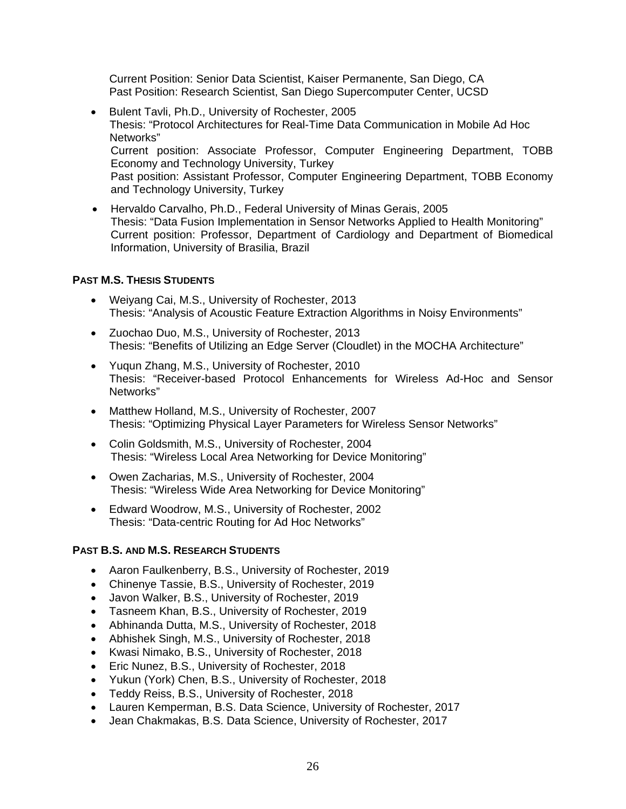Current Position: Senior Data Scientist, Kaiser Permanente, San Diego, CA Past Position: Research Scientist, San Diego Supercomputer Center, UCSD

- Bulent Tavli, Ph.D., University of Rochester, 2005 Thesis: "Protocol Architectures for Real-Time Data Communication in Mobile Ad Hoc Networks" Current position: Associate Professor, Computer Engineering Department, TOBB Economy and Technology University, Turkey Past position: Assistant Professor, Computer Engineering Department, TOBB Economy and Technology University, Turkey
- Hervaldo Carvalho, Ph.D., Federal University of Minas Gerais, 2005 Thesis: "Data Fusion Implementation in Sensor Networks Applied to Health Monitoring" Current position: Professor, Department of Cardiology and Department of Biomedical Information, University of Brasilia, Brazil

# **PAST M.S. THESIS STUDENTS**

- Weiyang Cai, M.S., University of Rochester, 2013 Thesis: "Analysis of Acoustic Feature Extraction Algorithms in Noisy Environments"
- Zuochao Duo, M.S., University of Rochester, 2013 Thesis: "Benefits of Utilizing an Edge Server (Cloudlet) in the MOCHA Architecture"
- Yuqun Zhang, M.S., University of Rochester, 2010 Thesis: "Receiver-based Protocol Enhancements for Wireless Ad-Hoc and Sensor Networks"
- Matthew Holland, M.S., University of Rochester, 2007 Thesis: "Optimizing Physical Layer Parameters for Wireless Sensor Networks"
- Colin Goldsmith, M.S., University of Rochester, 2004 Thesis: "Wireless Local Area Networking for Device Monitoring"
- Owen Zacharias, M.S., University of Rochester, 2004 Thesis: "Wireless Wide Area Networking for Device Monitoring"
- Edward Woodrow, M.S., University of Rochester, 2002 Thesis: "Data-centric Routing for Ad Hoc Networks"

## **PAST B.S. AND M.S. RESEARCH STUDENTS**

- Aaron Faulkenberry, B.S., University of Rochester, 2019
- Chinenye Tassie, B.S., University of Rochester, 2019
- Javon Walker, B.S., University of Rochester, 2019
- Tasneem Khan, B.S., University of Rochester, 2019
- Abhinanda Dutta, M.S., University of Rochester, 2018
- Abhishek Singh, M.S., University of Rochester, 2018
- Kwasi Nimako, B.S., University of Rochester, 2018
- Eric Nunez, B.S., University of Rochester, 2018
- Yukun (York) Chen, B.S., University of Rochester, 2018
- Teddy Reiss, B.S., University of Rochester, 2018
- Lauren Kemperman, B.S. Data Science, University of Rochester, 2017
- Jean Chakmakas, B.S. Data Science, University of Rochester, 2017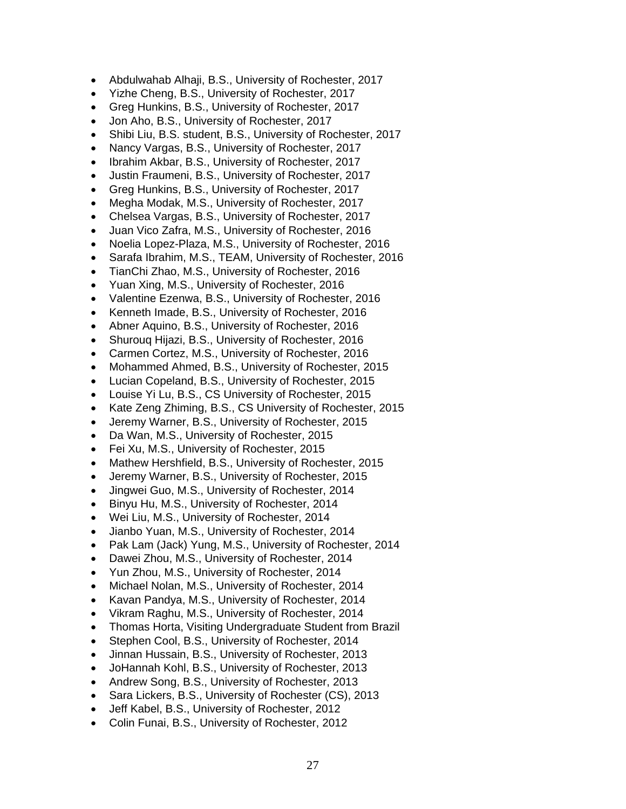- Abdulwahab Alhaji, B.S., University of Rochester, 2017
- Yizhe Cheng, B.S., University of Rochester, 2017
- Greg Hunkins, B.S., University of Rochester, 2017
- Jon Aho, B.S., University of Rochester, 2017
- Shibi Liu, B.S. student, B.S., University of Rochester, 2017
- Nancy Vargas, B.S., University of Rochester, 2017
- Ibrahim Akbar, B.S., University of Rochester, 2017
- Justin Fraumeni, B.S., University of Rochester, 2017
- Greg Hunkins, B.S., University of Rochester, 2017
- Megha Modak, M.S., University of Rochester, 2017
- Chelsea Vargas, B.S., University of Rochester, 2017
- Juan Vico Zafra, M.S., University of Rochester, 2016
- Noelia Lopez-Plaza, M.S., University of Rochester, 2016
- Sarafa Ibrahim, M.S., TEAM, University of Rochester, 2016
- TianChi Zhao, M.S., University of Rochester, 2016
- Yuan Xing, M.S., University of Rochester, 2016
- Valentine Ezenwa, B.S., University of Rochester, 2016
- Kenneth Imade, B.S., University of Rochester, 2016
- Abner Aquino, B.S., University of Rochester, 2016
- Shurouq Hijazi, B.S., University of Rochester, 2016
- Carmen Cortez, M.S., University of Rochester, 2016
- Mohammed Ahmed, B.S., University of Rochester, 2015
- Lucian Copeland, B.S., University of Rochester, 2015
- Louise Yi Lu, B.S., CS University of Rochester, 2015
- Kate Zeng Zhiming, B.S., CS University of Rochester, 2015
- Jeremy Warner, B.S., University of Rochester, 2015
- Da Wan, M.S., University of Rochester, 2015
- Fei Xu, M.S., University of Rochester, 2015
- Mathew Hershfield, B.S., University of Rochester, 2015
- Jeremy Warner, B.S., University of Rochester, 2015
- Jingwei Guo, M.S., University of Rochester, 2014
- Binyu Hu, M.S., University of Rochester, 2014
- Wei Liu, M.S., University of Rochester, 2014
- Jianbo Yuan, M.S., University of Rochester, 2014
- Pak Lam (Jack) Yung, M.S., University of Rochester, 2014
- Dawei Zhou, M.S., University of Rochester, 2014
- Yun Zhou, M.S., University of Rochester, 2014
- Michael Nolan, M.S., University of Rochester, 2014
- Kavan Pandya, M.S., University of Rochester, 2014
- Vikram Raghu, M.S., University of Rochester, 2014
- Thomas Horta, Visiting Undergraduate Student from Brazil
- Stephen Cool, B.S., University of Rochester, 2014
- Jinnan Hussain, B.S., University of Rochester, 2013
- JoHannah Kohl, B.S., University of Rochester, 2013
- Andrew Song, B.S., University of Rochester, 2013
- Sara Lickers, B.S., University of Rochester (CS), 2013
- Jeff Kabel, B.S., University of Rochester, 2012
- Colin Funai, B.S., University of Rochester, 2012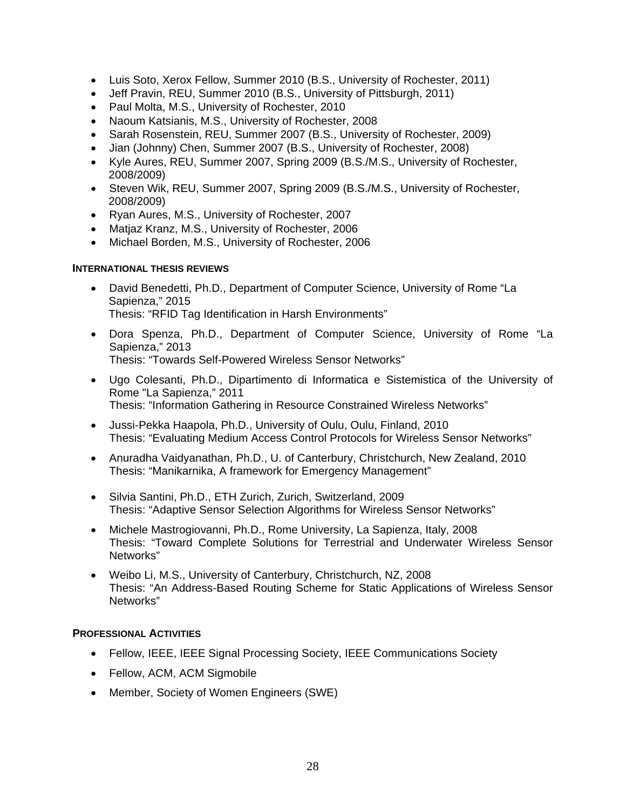- Luis Soto, Xerox Fellow, Summer 2010 (B.S., University of Rochester, 2011)
- Jeff Pravin, REU, Summer 2010 (B.S., University of Pittsburgh, 2011)
- Paul Molta, M.S., University of Rochester, 2010
- Naoum Katsianis, M.S., University of Rochester, 2008
- Sarah Rosenstein, REU, Summer 2007 (B.S., University of Rochester, 2009)
- Jian (Johnny) Chen, Summer 2007 (B.S., University of Rochester, 2008)
- Kyle Aures, REU, Summer 2007, Spring 2009 (B.S./M.S., University of Rochester, 2008/2009)
- Steven Wik, REU, Summer 2007, Spring 2009 (B.S./M.S., University of Rochester, 2008/2009)
- Ryan Aures, M.S., University of Rochester, 2007
- Matjaz Kranz, M.S., University of Rochester, 2006
- Michael Borden, M.S., University of Rochester, 2006

#### **INTERNATIONAL THESIS REVIEWS**

- David Benedetti, Ph.D., Department of Computer Science, University of Rome "La Sapienza," 2015 Thesis: "RFID Tag Identification in Harsh Environments"
- Dora Spenza, Ph.D., Department of Computer Science, University of Rome "La Sapienza," 2013 Thesis: "Towards Self-Powered Wireless Sensor Networks"
- Ugo Colesanti, Ph.D., Dipartimento di Informatica e Sistemistica of the University of Rome "La Sapienza," 2011 Thesis: "Information Gathering in Resource Constrained Wireless Networks"
- Jussi-Pekka Haapola, Ph.D., University of Oulu, Oulu, Finland, 2010 Thesis: "Evaluating Medium Access Control Protocols for Wireless Sensor Networks"
- Anuradha Vaidyanathan, Ph.D., U. of Canterbury, Christchurch, New Zealand, 2010 Thesis: "Manikarnika, A framework for Emergency Management"
- Silvia Santini, Ph.D., ETH Zurich, Zurich, Switzerland, 2009 Thesis: "Adaptive Sensor Selection Algorithms for Wireless Sensor Networks"
- Michele Mastrogiovanni, Ph.D., Rome University, La Sapienza, Italy, 2008 Thesis: "Toward Complete Solutions for Terrestrial and Underwater Wireless Sensor Networks"
- Weibo Li, M.S., University of Canterbury, Christchurch, NZ, 2008 Thesis: "An Address-Based Routing Scheme for Static Applications of Wireless Sensor Networks"

## **PROFESSIONAL ACTIVITIES**

- Fellow, IEEE, IEEE Signal Processing Society, IEEE Communications Society
- Fellow, ACM, ACM Sigmobile
- Member, Society of Women Engineers (SWE)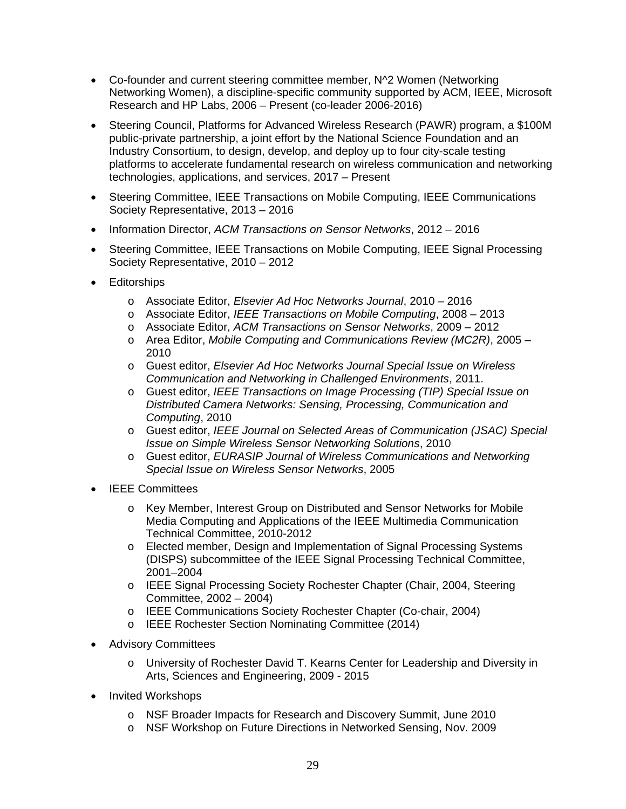- Co-founder and current steering committee member, N^2 Women (Networking Networking Women), a discipline-specific community supported by ACM, IEEE, Microsoft Research and HP Labs, 2006 – Present (co-leader 2006-2016)
- Steering Council, Platforms for Advanced Wireless Research (PAWR) program, a \$100M public-private partnership, a joint effort by the National Science Foundation and an Industry Consortium, to design, develop, and deploy up to four city-scale testing platforms to accelerate fundamental research on wireless communication and networking technologies, applications, and services, 2017 – Present
- Steering Committee, IEEE Transactions on Mobile Computing, IEEE Communications Society Representative, 2013 – 2016
- Information Director, *ACM Transactions on Sensor Networks*, 2012 2016
- Steering Committee, IEEE Transactions on Mobile Computing, IEEE Signal Processing Society Representative, 2010 – 2012
- **Editorships** 
	- o Associate Editor, *Elsevier Ad Hoc Networks Journal*, 2010 2016
	- o Associate Editor, *IEEE Transactions on Mobile Computing*, 2008 2013
	- o Associate Editor, *ACM Transactions on Sensor Networks*, 2009 2012
	- o Area Editor, *Mobile Computing and Communications Review (MC2R)*, 2005 2010
	- o Guest editor, *Elsevier Ad Hoc Networks Journal Special Issue on Wireless Communication and Networking in Challenged Environments*, 2011.
	- o Guest editor, *IEEE Transactions on Image Processing (TIP) Special Issue on Distributed Camera Networks: Sensing, Processing, Communication and Computing*, 2010
	- o Guest editor, *IEEE Journal on Selected Areas of Communication (JSAC) Special Issue on Simple Wireless Sensor Networking Solutions*, 2010
	- o Guest editor, *EURASIP Journal of Wireless Communications and Networking Special Issue on Wireless Sensor Networks*, 2005
- IEEE Committees
	- o Key Member, Interest Group on Distributed and Sensor Networks for Mobile Media Computing and Applications of the IEEE Multimedia Communication Technical Committee, 2010-2012
	- o Elected member, Design and Implementation of Signal Processing Systems (DISPS) subcommittee of the IEEE Signal Processing Technical Committee, 2001–2004
	- o IEEE Signal Processing Society Rochester Chapter (Chair, 2004, Steering Committee, 2002 – 2004)
	- o IEEE Communications Society Rochester Chapter (Co-chair, 2004)
	- o IEEE Rochester Section Nominating Committee (2014)
- Advisory Committees
	- o University of Rochester David T. Kearns Center for Leadership and Diversity in Arts, Sciences and Engineering, 2009 - 2015
- Invited Workshops
	- o NSF Broader Impacts for Research and Discovery Summit, June 2010
	- o NSF Workshop on Future Directions in Networked Sensing, Nov. 2009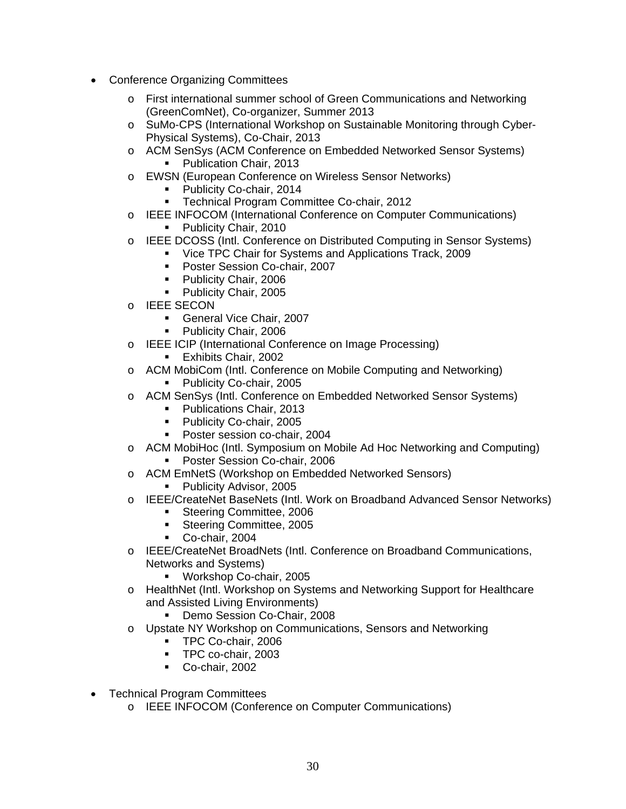- Conference Organizing Committees
	- o First international summer school of Green Communications and Networking (GreenComNet), Co-organizer, Summer 2013
	- o SuMo-CPS (International Workshop on Sustainable Monitoring through Cyber-Physical Systems), Co-Chair, 2013
	- o ACM SenSys (ACM Conference on Embedded Networked Sensor Systems) **Publication Chair, 2013**
	- o EWSN (European Conference on Wireless Sensor Networks)
		- **Publicity Co-chair, 2014**
		- **Technical Program Committee Co-chair, 2012**
	- o IEEE INFOCOM (International Conference on Computer Communications)
		- **Publicity Chair, 2010**
	- o IEEE DCOSS (Intl. Conference on Distributed Computing in Sensor Systems)
		- Vice TPC Chair for Systems and Applications Track, 2009
		- **Poster Session Co-chair, 2007**
		- **Publicity Chair, 2006**
		- **Publicity Chair, 2005**
	- o IEEE SECON
		- General Vice Chair, 2007
		- **Publicity Chair, 2006**
	- o IEEE ICIP (International Conference on Image Processing)
		- **Exhibits Chair, 2002**
	- o ACM MobiCom (Intl. Conference on Mobile Computing and Networking) **Publicity Co-chair, 2005**
	- o ACM SenSys (Intl. Conference on Embedded Networked Sensor Systems)
		- **Publications Chair, 2013**
		- Publicity Co-chair, 2005
		- Poster session co-chair, 2004
	- o ACM MobiHoc (Intl. Symposium on Mobile Ad Hoc Networking and Computing) **Poster Session Co-chair, 2006**
	- o ACM EmNetS (Workshop on Embedded Networked Sensors)
		- Publicity Advisor, 2005
	- o IEEE/CreateNet BaseNets (Intl. Work on Broadband Advanced Sensor Networks)
		- **Steering Committee, 2006**
		- **Steering Committee, 2005**
		- Co-chair, 2004
	- o IEEE/CreateNet BroadNets (Intl. Conference on Broadband Communications, Networks and Systems)
		- **Workshop Co-chair, 2005**
	- o HealthNet (Intl. Workshop on Systems and Networking Support for Healthcare and Assisted Living Environments)
		- **Demo Session Co-Chair, 2008**
	- o Upstate NY Workshop on Communications, Sensors and Networking
		- **TPC Co-chair, 2006**
		- **TPC co-chair, 2003**
		- Co-chair, 2002
- Technical Program Committees
	- o IEEE INFOCOM (Conference on Computer Communications)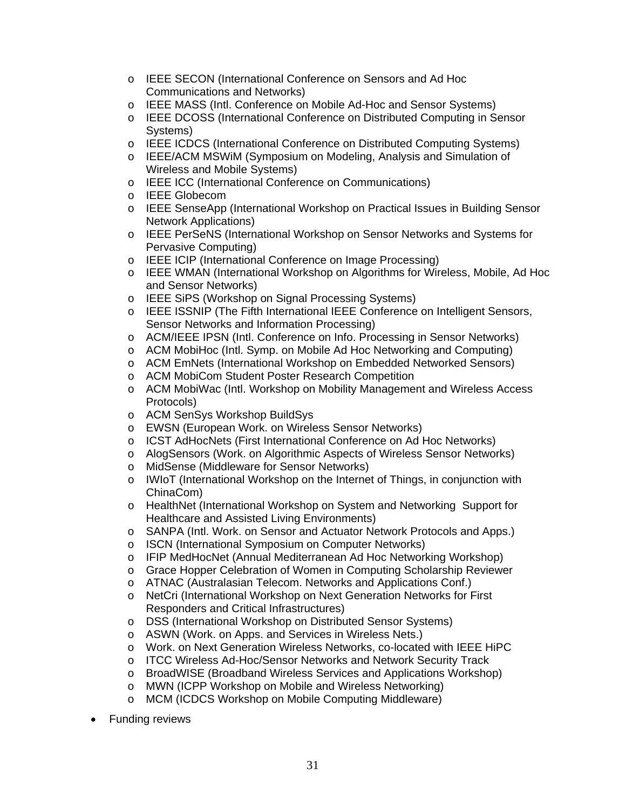- o IEEE SECON (International Conference on Sensors and Ad Hoc Communications and Networks)
- o IEEE MASS (Intl. Conference on Mobile Ad-Hoc and Sensor Systems)
- o IEEE DCOSS (International Conference on Distributed Computing in Sensor Systems)
- o IEEE ICDCS (International Conference on Distributed Computing Systems)
- o IEEE/ACM MSWiM (Symposium on Modeling, Analysis and Simulation of Wireless and Mobile Systems)
- o IEEE ICC (International Conference on Communications)
- o IEEE Globecom
- o IEEE SenseApp (International Workshop on Practical Issues in Building Sensor Network Applications)
- o IEEE PerSeNS (International Workshop on Sensor Networks and Systems for Pervasive Computing)
- o IEEE ICIP (International Conference on Image Processing)
- o IEEE WMAN (International Workshop on Algorithms for Wireless, Mobile, Ad Hoc and Sensor Networks)
- o IEEE SiPS (Workshop on Signal Processing Systems)
- o IEEE ISSNIP (The Fifth International IEEE Conference on Intelligent Sensors, Sensor Networks and Information Processing)
- o ACM/IEEE IPSN (Intl. Conference on Info. Processing in Sensor Networks)
- o ACM MobiHoc (Intl. Symp. on Mobile Ad Hoc Networking and Computing)
- o ACM EmNets (International Workshop on Embedded Networked Sensors)
- o ACM MobiCom Student Poster Research Competition
- o ACM MobiWac (Intl. Workshop on Mobility Management and Wireless Access Protocols)
- o ACM SenSys Workshop BuildSys
- o EWSN (European Work. on Wireless Sensor Networks)
- o ICST AdHocNets (First International Conference on Ad Hoc Networks)
- o AlogSensors (Work. on Algorithmic Aspects of Wireless Sensor Networks)
- o MidSense (Middleware for Sensor Networks)
- o IWIoT (International Workshop on the Internet of Things, in conjunction with ChinaCom)
- o HealthNet (International Workshop on System and Networking Support for Healthcare and Assisted Living Environments)
- o SANPA (Intl. Work. on Sensor and Actuator Network Protocols and Apps.)
- o ISCN (International Symposium on Computer Networks)
- o IFIP MedHocNet (Annual Mediterranean Ad Hoc Networking Workshop)
- o Grace Hopper Celebration of Women in Computing Scholarship Reviewer
- o ATNAC (Australasian Telecom. Networks and Applications Conf.)
- o NetCri (International Workshop on Next Generation Networks for First Responders and Critical Infrastructures)
- o DSS (International Workshop on Distributed Sensor Systems)
- o ASWN (Work. on Apps. and Services in Wireless Nets.)
- o Work. on Next Generation Wireless Networks, co-located with IEEE HiPC
- o ITCC Wireless Ad-Hoc/Sensor Networks and Network Security Track
- o BroadWISE (Broadband Wireless Services and Applications Workshop)
- o MWN (ICPP Workshop on Mobile and Wireless Networking)
- o MCM (ICDCS Workshop on Mobile Computing Middleware)
- Funding reviews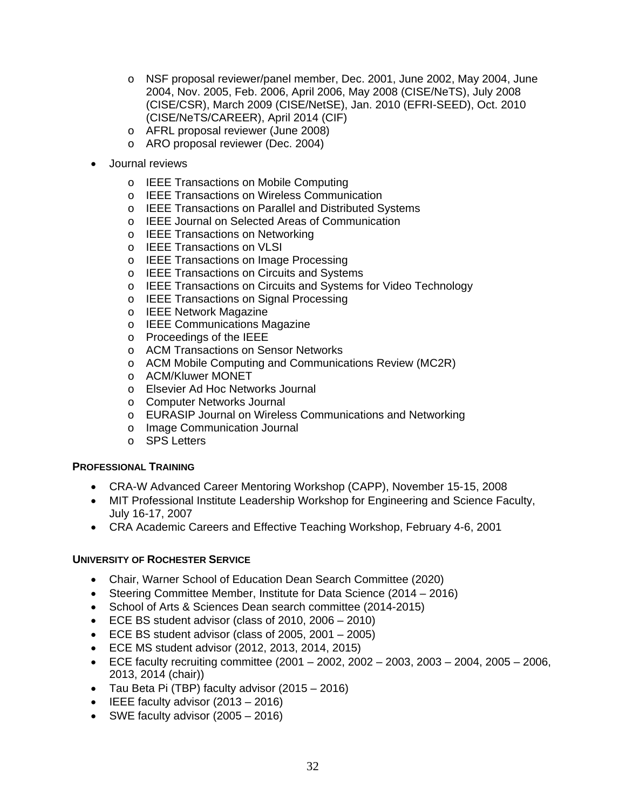- o NSF proposal reviewer/panel member, Dec. 2001, June 2002, May 2004, June 2004, Nov. 2005, Feb. 2006, April 2006, May 2008 (CISE/NeTS), July 2008 (CISE/CSR), March 2009 (CISE/NetSE), Jan. 2010 (EFRI-SEED), Oct. 2010 (CISE/NeTS/CAREER), April 2014 (CIF)
- o AFRL proposal reviewer (June 2008)
- o ARO proposal reviewer (Dec. 2004)
- Journal reviews
	- o IEEE Transactions on Mobile Computing
	- o IEEE Transactions on Wireless Communication
	- o IEEE Transactions on Parallel and Distributed Systems
	- o IEEE Journal on Selected Areas of Communication
	- o IEEE Transactions on Networking
	- o IEEE Transactions on VLSI
	- o IEEE Transactions on Image Processing
	- o IEEE Transactions on Circuits and Systems
	- o IEEE Transactions on Circuits and Systems for Video Technology
	- o IEEE Transactions on Signal Processing
	- o IEEE Network Magazine
	- o IEEE Communications Magazine
	- o Proceedings of the IEEE
	- o ACM Transactions on Sensor Networks
	- o ACM Mobile Computing and Communications Review (MC2R)
	- o ACM/Kluwer MONET
	- o Elsevier Ad Hoc Networks Journal
	- o Computer Networks Journal
	- o EURASIP Journal on Wireless Communications and Networking
	- o Image Communication Journal
	- o SPS Letters

## **PROFESSIONAL TRAINING**

- CRA-W Advanced Career Mentoring Workshop (CAPP), November 15-15, 2008
- MIT Professional Institute Leadership Workshop for Engineering and Science Faculty, July 16-17, 2007
- CRA Academic Careers and Effective Teaching Workshop, February 4-6, 2001

## **UNIVERSITY OF ROCHESTER SERVICE**

- Chair, Warner School of Education Dean Search Committee (2020)
- Steering Committee Member, Institute for Data Science (2014 2016)
- School of Arts & Sciences Dean search committee (2014-2015)
- ECE BS student advisor (class of 2010, 2006 2010)
- ECE BS student advisor (class of 2005, 2001 2005)
- ECE MS student advisor (2012, 2013, 2014, 2015)
- ECE faculty recruiting committee  $(2001 2002, 2002 2003, 2003 2004, 2005 2006,$ 2013, 2014 (chair))
- Tau Beta Pi (TBP) faculty advisor (2015 2016)
- IEEE faculty advisor (2013 2016)
- SWE faculty advisor (2005 2016)